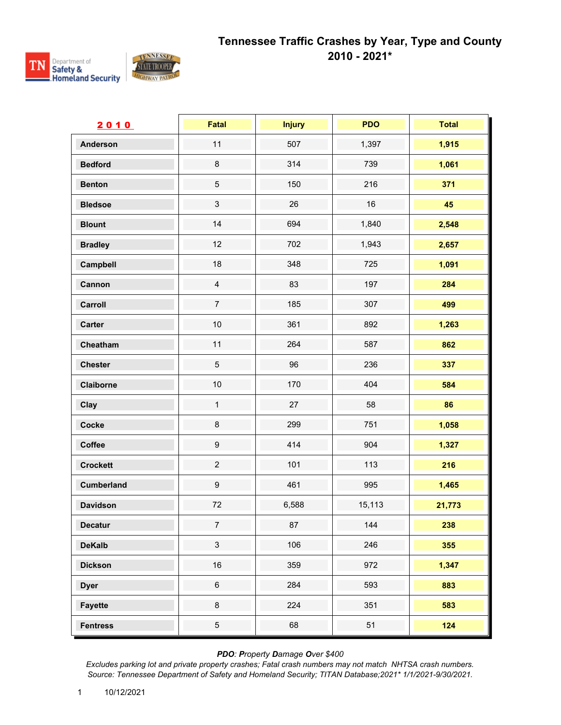



| 2010              | <b>Fatal</b>     | <b>Injury</b> | <b>PDO</b> | <b>Total</b> |
|-------------------|------------------|---------------|------------|--------------|
| <b>Anderson</b>   | 11               | 507           | 1,397      | 1,915        |
| <b>Bedford</b>    | $\bf 8$          | 314           | 739        | 1,061        |
| <b>Benton</b>     | $\sqrt{5}$       | 150           | 216        | 371          |
| <b>Bledsoe</b>    | $\sqrt{3}$       | 26            | 16         | 45           |
| <b>Blount</b>     | 14               | 694           | 1,840      | 2,548        |
| <b>Bradley</b>    | 12               | 702           | 1,943      | 2,657        |
| Campbell          | 18               | 348           | 725        | 1,091        |
| Cannon            | $\overline{4}$   | 83            | 197        | 284          |
| Carroll           | $\boldsymbol{7}$ | 185           | 307        | 499          |
| <b>Carter</b>     | $10$             | 361           | 892        | 1,263        |
| Cheatham          | 11               | 264           | 587        | 862          |
| <b>Chester</b>    | $\sqrt{5}$       | 96            | 236        | 337          |
| Claiborne         | $10$             | 170           | 404        | 584          |
| Clay              | $\mathbf{1}$     | 27            | 58         | 86           |
| Cocke             | $\bf 8$          | 299           | 751        | 1,058        |
| Coffee            | $\boldsymbol{9}$ | 414           | 904        | 1,327        |
| <b>Crockett</b>   | $\sqrt{2}$       | 101           | 113        | 216          |
| <b>Cumberland</b> | $\boldsymbol{9}$ | 461           | 995        | 1,465        |
| <b>Davidson</b>   | $72\,$           | 6,588         | 15,113     | 21,773       |
| <b>Decatur</b>    | $\overline{7}$   | $87\,$        | 144        | 238          |
| <b>DeKalb</b>     | $\mathfrak{S}$   | 106           | 246        | 355          |
| <b>Dickson</b>    | $16\,$           | 359           | 972        | 1,347        |
| <b>Dyer</b>       | $\,6\,$          | 284           | 593        | 883          |
| <b>Fayette</b>    | $\bf 8$          | 224           | 351        | 583          |
| <b>Fentress</b>   | $\sqrt{5}$       | 68            | 51         | 124          |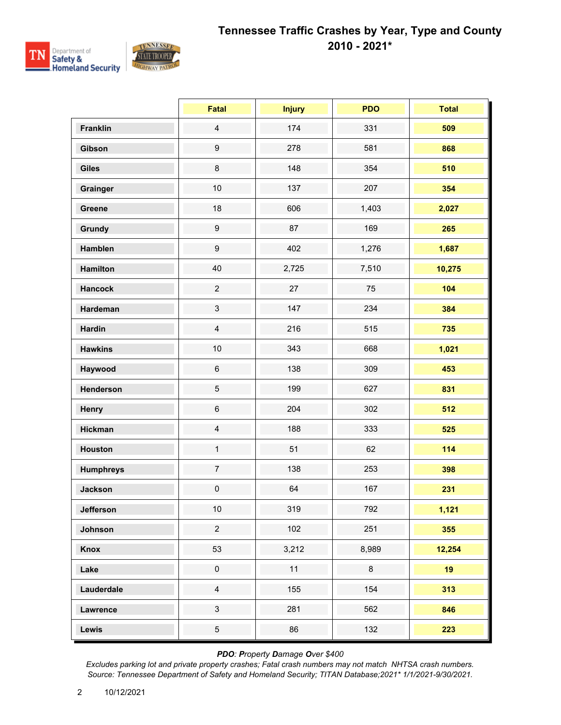

|                  | <b>Fatal</b>     | <b>Injury</b> | <b>PDO</b> | <b>Total</b> |
|------------------|------------------|---------------|------------|--------------|
| <b>Franklin</b>  | $\overline{4}$   | 174           | 331        | 509          |
| Gibson           | $\boldsymbol{9}$ | 278           | 581        | 868          |
| <b>Giles</b>     | 8                | 148           | 354        | 510          |
| Grainger         | $10$             | 137           | 207        | 354          |
| Greene           | 18               | 606           | 1,403      | 2,027        |
| Grundy           | $\boldsymbol{9}$ | 87            | 169        | 265          |
| Hamblen          | $\boldsymbol{9}$ | 402           | 1,276      | 1,687        |
| <b>Hamilton</b>  | 40               | 2,725         | 7,510      | 10,275       |
| <b>Hancock</b>   | $\overline{2}$   | 27            | 75         | 104          |
| Hardeman         | $\mathfrak{S}$   | 147           | 234        | 384          |
| <b>Hardin</b>    | $\overline{4}$   | 216           | 515        | 735          |
| <b>Hawkins</b>   | 10               | 343           | 668        | 1,021        |
| Haywood          | $\,6\,$          | 138           | 309        | 453          |
| Henderson        | 5                | 199           | 627        | 831          |
| <b>Henry</b>     | $\,6$            | 204           | 302        | 512          |
| <b>Hickman</b>   | $\overline{4}$   | 188           | 333        | 525          |
| <b>Houston</b>   | $\mathbf{1}$     | 51            | 62         | 114          |
| <b>Humphreys</b> | $\overline{7}$   | 138           | 253        | 398          |
| <b>Jackson</b>   | $\pmb{0}$        | 64            | 167        | 231          |
| Jefferson        | $10\,$           | 319           | 792        | 1,121        |
| Johnson          | $\overline{2}$   | 102           | 251        | 355          |
| Knox             | 53               | 3,212         | 8,989      | 12,254       |
| Lake             | $\pmb{0}$        | 11            | 8          | 19           |
| Lauderdale       | $\overline{4}$   | 155           | 154        | 313          |
| Lawrence         | $\mathfrak{S}$   | 281           | 562        | 846          |
| Lewis            | $\overline{5}$   | 86            | 132        | 223          |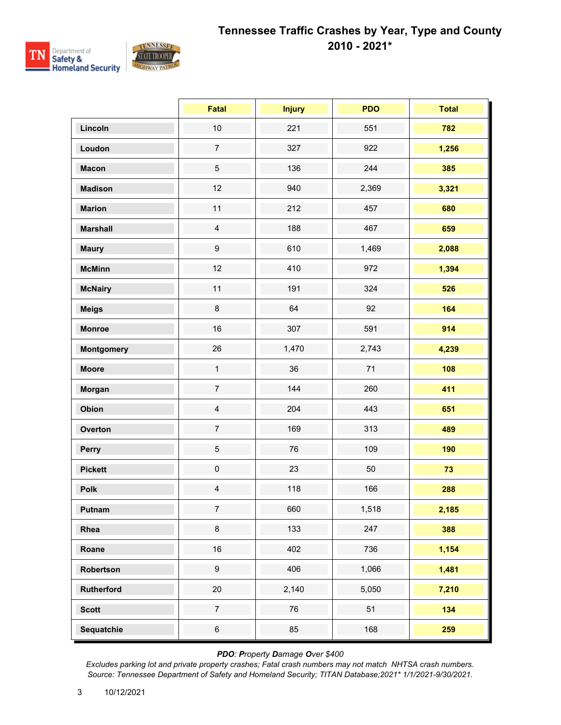

|                   | <b>Fatal</b>        | <b>Injury</b> | <b>PDO</b> | <b>Total</b> |
|-------------------|---------------------|---------------|------------|--------------|
| Lincoln           | $10$                | 221           | 551        | 782          |
| Loudon            | $\overline{7}$      | 327           | 922        | 1,256        |
| <b>Macon</b>      | $\sqrt{5}$          | 136           | 244        | 385          |
| <b>Madison</b>    | 12                  | 940           | 2,369      | 3,321        |
| <b>Marion</b>     | 11                  | 212           | 457        | 680          |
| <b>Marshall</b>   | $\overline{4}$      | 188           | 467        | 659          |
| <b>Maury</b>      | $\boldsymbol{9}$    | 610           | 1,469      | 2,088        |
| <b>McMinn</b>     | 12                  | 410           | 972        | 1,394        |
| <b>McNairy</b>    | 11                  | 191           | 324        | 526          |
| <b>Meigs</b>      | $\bf 8$             | 64            | 92         | 164          |
| <b>Monroe</b>     | 16                  | 307           | 591        | 914          |
| <b>Montgomery</b> | 26                  | 1,470         | 2,743      | 4,239        |
| <b>Moore</b>      | $\mathbf{1}$        | 36            | 71         | 108          |
| Morgan            | $\overline{7}$      | 144           | 260        | 411          |
| Obion             | $\overline{4}$      | 204           | 443        | 651          |
| Overton           | $\overline{7}$      | 169           | 313        | 489          |
| Perry             | $\sqrt{5}$          | 76            | 109        | 190          |
| <b>Pickett</b>    | $\mathsf{O}\xspace$ | 23            | 50         | 73           |
| Polk              | $\overline{4}$      | 118           | 166        | 288          |
| Putnam            | $\overline{7}$      | 660           | 1,518      | 2,185        |
| Rhea              | $\bf 8$             | 133           | 247        | 388          |
| Roane             | 16                  | 402           | 736        | 1,154        |
| Robertson         | $\boldsymbol{9}$    | 406           | 1,066      | 1,481        |
| Rutherford        | $20\,$              | 2,140         | 5,050      | 7,210        |
| <b>Scott</b>      | $\overline{7}$      | 76            | 51         | 134          |
| Sequatchie        | $\,6\,$             | 85            | 168        | 259          |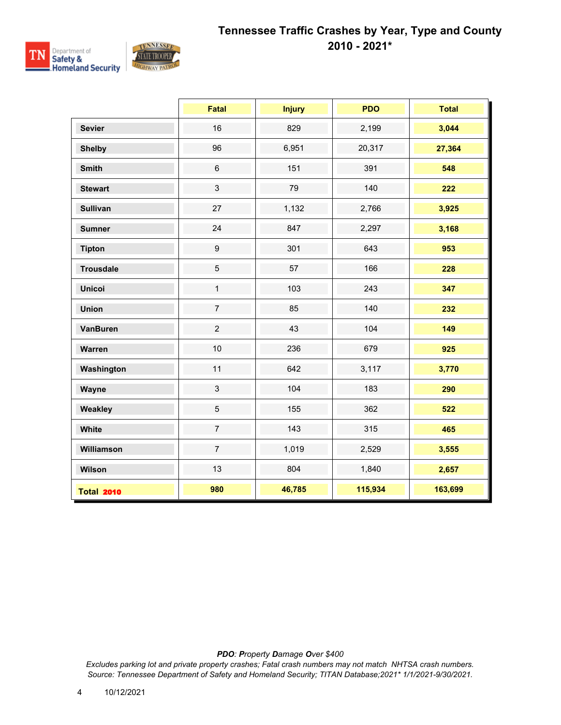

|                   | <b>Fatal</b>     | <b>Injury</b> | <b>PDO</b> | <b>Total</b> |
|-------------------|------------------|---------------|------------|--------------|
| <b>Sevier</b>     | 16               | 829           | 2,199      | 3,044        |
| <b>Shelby</b>     | 96               | 6,951         | 20,317     | 27,364       |
| <b>Smith</b>      | $\,6$            | 151           | 391        | 548          |
| <b>Stewart</b>    | $\mathbf{3}$     | 79            | 140        | 222          |
| <b>Sullivan</b>   | 27               | 1,132         | 2,766      | 3,925        |
| <b>Sumner</b>     | 24               | 847           | 2,297      | 3,168        |
| <b>Tipton</b>     | $\boldsymbol{9}$ | 301           | 643        | 953          |
| <b>Trousdale</b>  | $\overline{5}$   | 57            | 166        | 228          |
| <b>Unicoi</b>     | $\mathbf{1}$     | 103           | 243        | 347          |
| <b>Union</b>      | $\overline{7}$   | 85            | 140        | 232          |
| <b>VanBuren</b>   | $\overline{c}$   | 43            | 104        | 149          |
| Warren            | 10               | 236           | 679        | 925          |
| Washington        | 11               | 642           | 3,117      | 3,770        |
| Wayne             | $\mathfrak{S}$   | 104           | 183        | 290          |
| Weakley           | $\sqrt{5}$       | 155           | 362        | 522          |
| White             | $\overline{7}$   | 143           | 315        | 465          |
| Williamson        | $\overline{7}$   | 1,019         | 2,529      | 3,555        |
| Wilson            | 13               | 804           | 1,840      | 2,657        |
| <b>Total 2010</b> | 980              | 46,785        | 115,934    | 163,699      |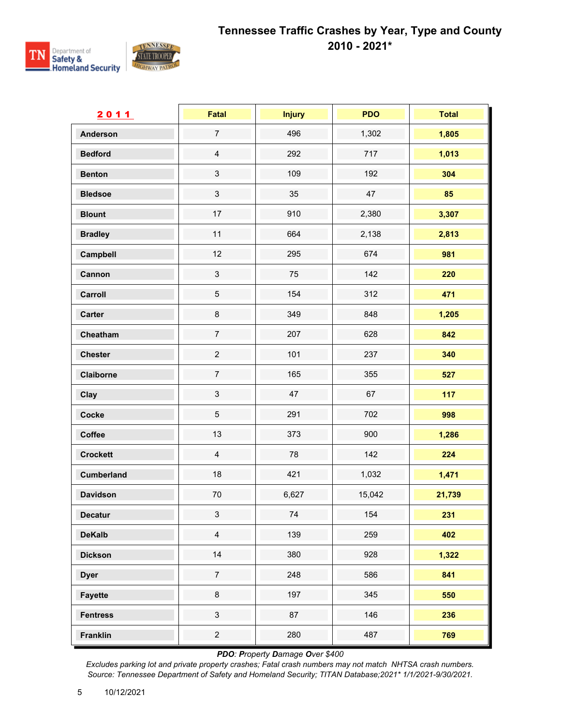

| 2011              | <b>Fatal</b>   | <b>Injury</b> | <b>PDO</b> | <b>Total</b> |
|-------------------|----------------|---------------|------------|--------------|
| <b>Anderson</b>   | $\overline{7}$ | 496           | 1,302      | 1,805        |
| <b>Bedford</b>    | $\overline{4}$ | 292           | 717        | 1,013        |
| <b>Benton</b>     | $\mathfrak{S}$ | 109           | 192        | 304          |
| <b>Bledsoe</b>    | $\mathfrak{S}$ | 35            | 47         | 85           |
| <b>Blount</b>     | 17             | 910           | 2,380      | 3,307        |
| <b>Bradley</b>    | 11             | 664           | 2,138      | 2,813        |
| Campbell          | 12             | 295           | 674        | 981          |
| Cannon            | $\mathfrak{S}$ | 75            | 142        | 220          |
| Carroll           | $\sqrt{5}$     | 154           | 312        | 471          |
| <b>Carter</b>     | $\bf 8$        | 349           | 848        | 1,205        |
| Cheatham          | $\overline{7}$ | 207           | 628        | 842          |
| <b>Chester</b>    | $\overline{2}$ | 101           | 237        | 340          |
| Claiborne         | $\overline{7}$ | 165           | 355        | 527          |
| Clay              | $\mathfrak{S}$ | 47            | 67         | 117          |
| Cocke             | $\sqrt{5}$     | 291           | 702        | 998          |
| Coffee            | 13             | 373           | 900        | 1,286        |
| <b>Crockett</b>   | $\overline{4}$ | 78            | 142        | 224          |
| <b>Cumberland</b> | 18             | 421           | 1,032      | 1,471        |
| <b>Davidson</b>   | $70\,$         | 6,627         | 15,042     | 21,739       |
| <b>Decatur</b>    | $\mathfrak{S}$ | 74            | 154        | 231          |
| <b>DeKalb</b>     | $\overline{4}$ | 139           | 259        | 402          |
| <b>Dickson</b>    | $14$           | 380           | 928        | 1,322        |
| <b>Dyer</b>       | $\overline{7}$ | 248           | 586        | 841          |
| <b>Fayette</b>    | 8              | 197           | 345        | 550          |
| <b>Fentress</b>   | $\mathfrak{S}$ | 87            | 146        | 236          |
| <b>Franklin</b>   | $\overline{c}$ | 280           | 487        | 769          |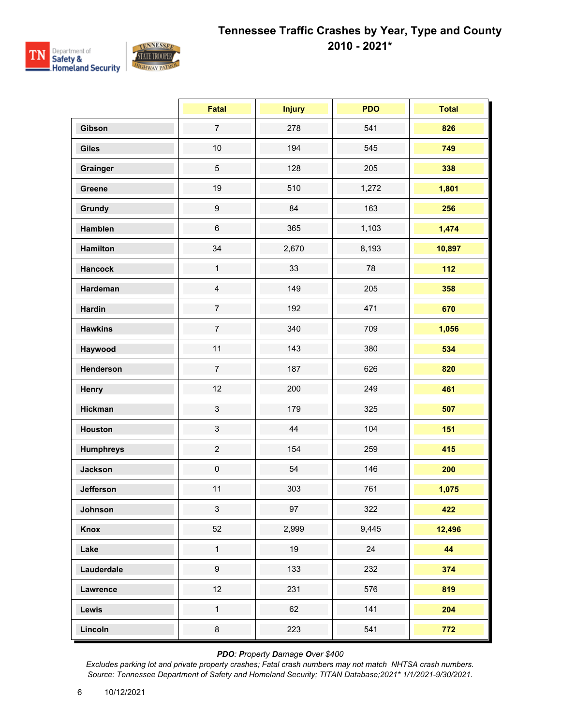

|                  | Fatal            | <b>Injury</b> | <b>PDO</b> | <b>Total</b> |
|------------------|------------------|---------------|------------|--------------|
| Gibson           | $\overline{7}$   | 278           | 541        | 826          |
| <b>Giles</b>     | $10$             | 194           | 545        | 749          |
| Grainger         | $\overline{5}$   | 128           | 205        | 338          |
| Greene           | 19               | 510           | 1,272      | 1,801        |
| Grundy           | $\boldsymbol{9}$ | 84            | 163        | 256          |
| Hamblen          | $6\,$            | 365           | 1,103      | 1,474        |
| <b>Hamilton</b>  | 34               | 2,670         | 8,193      | 10,897       |
| <b>Hancock</b>   | $\mathbf{1}$     | 33            | 78         | 112          |
| Hardeman         | $\overline{4}$   | 149           | 205        | 358          |
| <b>Hardin</b>    | $\overline{7}$   | 192           | 471        | 670          |
| <b>Hawkins</b>   | $\boldsymbol{7}$ | 340           | 709        | 1,056        |
| Haywood          | 11               | 143           | 380        | 534          |
| Henderson        | $\overline{7}$   | 187           | 626        | 820          |
| Henry            | 12               | 200           | 249        | 461          |
| <b>Hickman</b>   | $\sqrt{3}$       | 179           | 325        | 507          |
| Houston          | $\mathfrak{S}$   | 44            | 104        | 151          |
| <b>Humphreys</b> | $\overline{2}$   | 154           | 259        | 415          |
| <b>Jackson</b>   | $\mathbf 0$      | 54            | 146        | 200          |
| <b>Jefferson</b> | 11               | 303           | 761        | 1,075        |
| Johnson          | 3 <sup>1</sup>   | 97            | 322        | 422          |
| Knox             | 52               | 2,999         | 9,445      | 12,496       |
| Lake             | $\mathbf{1}$     | 19            | 24         | 44           |
| Lauderdale       | $\boldsymbol{9}$ | 133           | 232        | 374          |
| Lawrence         | 12               | 231           | 576        | 819          |
| Lewis            | $\mathbf 1$      | 62            | 141        | 204          |
| Lincoln          | $\bf 8$          | 223           | 541        | 772          |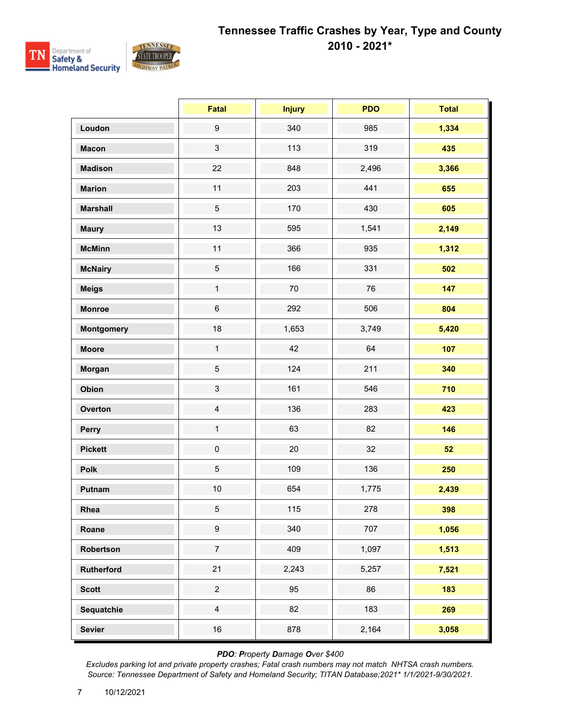

|                   | Fatal            | <b>Injury</b> | <b>PDO</b> | <b>Total</b> |
|-------------------|------------------|---------------|------------|--------------|
| Loudon            | $\boldsymbol{9}$ | 340           | 985        | 1,334        |
| <b>Macon</b>      | $\mathfrak{S}$   | 113           | 319        | 435          |
| <b>Madison</b>    | 22               | 848           | 2,496      | 3,366        |
| <b>Marion</b>     | 11               | 203           | 441        | 655          |
| <b>Marshall</b>   | $\,$ 5 $\,$      | 170           | 430        | 605          |
| <b>Maury</b>      | 13               | 595           | 1,541      | 2,149        |
| <b>McMinn</b>     | 11               | 366           | 935        | 1,312        |
| <b>McNairy</b>    | $\,$ 5 $\,$      | 166           | 331        | 502          |
| <b>Meigs</b>      | $\mathbf{1}$     | $70\,$        | 76         | 147          |
| <b>Monroe</b>     | $\,6$            | 292           | 506        | 804          |
| <b>Montgomery</b> | 18               | 1,653         | 3,749      | 5,420        |
| <b>Moore</b>      | $\mathbf{1}$     | 42            | 64         | 107          |
| Morgan            | $\,$ 5 $\,$      | 124           | 211        | 340          |
| Obion             | $\mathsf 3$      | 161           | 546        | 710          |
| Overton           | $\overline{4}$   | 136           | 283        | 423          |
| Perry             | $\mathbf{1}$     | 63            | 82         | 146          |
| <b>Pickett</b>    | $\pmb{0}$        | 20            | 32         | 52           |
| <b>Polk</b>       | $\,$ 5 $\,$      | 109           | 136        | 250          |
| Putnam            | $10$             | 654           | 1,775      | 2,439        |
| Rhea              | $\,$ 5 $\,$      | 115           | 278        | 398          |
| Roane             | $\boldsymbol{9}$ | 340           | 707        | 1,056        |
| Robertson         | $\boldsymbol{7}$ | 409           | 1,097      | 1,513        |
| <b>Rutherford</b> | 21               | 2,243         | 5,257      | 7,521        |
| <b>Scott</b>      | $\overline{2}$   | 95            | 86         | 183          |
| Sequatchie        | $\overline{4}$   | 82            | 183        | 269          |
| <b>Sevier</b>     | $16\,$           | 878           | 2,164      | 3,058        |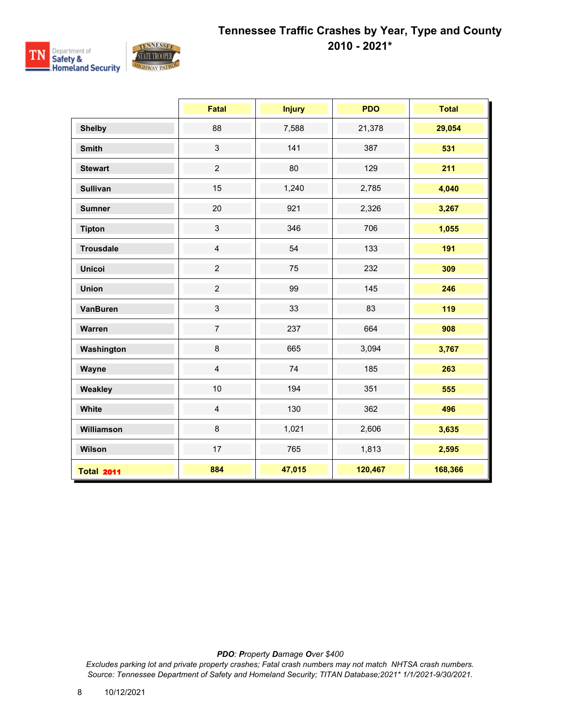

|                   | <b>Fatal</b>   | <b>Injury</b> | <b>PDO</b> | <b>Total</b> |
|-------------------|----------------|---------------|------------|--------------|
| <b>Shelby</b>     | 88             | 7,588         | 21,378     | 29,054       |
| <b>Smith</b>      | $\mathbf{3}$   | 141           | 387        | 531          |
| <b>Stewart</b>    | $\overline{2}$ | 80            | 129        | 211          |
| <b>Sullivan</b>   | 15             | 1,240         | 2,785      | 4,040        |
| <b>Sumner</b>     | 20             | 921           | 2,326      | 3,267        |
| <b>Tipton</b>     | $\mathbf{3}$   | 346           | 706        | 1,055        |
| <b>Trousdale</b>  | $\overline{4}$ | 54            | 133        | 191          |
| <b>Unicoi</b>     | $\overline{2}$ | 75            | 232        | 309          |
| <b>Union</b>      | $\overline{2}$ | 99            | 145        | 246          |
| VanBuren          | $\mathbf{3}$   | 33            | 83         | 119          |
| Warren            | $\overline{7}$ | 237           | 664        | 908          |
| Washington        | 8              | 665           | 3,094      | 3,767        |
| Wayne             | $\overline{4}$ | 74            | 185        | 263          |
| Weakley           | 10             | 194           | 351        | 555          |
| White             | $\overline{4}$ | 130           | 362        | 496          |
| Williamson        | 8              | 1,021         | 2,606      | 3,635        |
| Wilson            | 17             | 765           | 1,813      | 2,595        |
| <b>Total 2011</b> | 884            | 47,015        | 120,467    | 168,366      |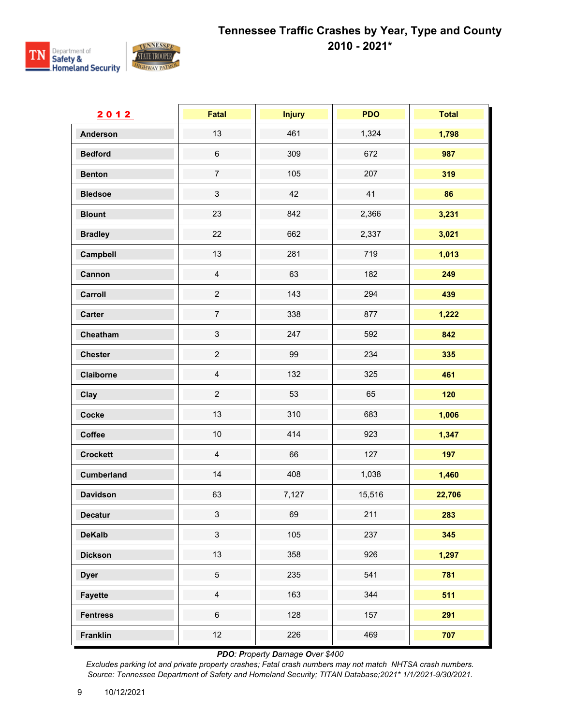

| 2012              | <b>Fatal</b>              | <b>Injury</b> | <b>PDO</b> | <b>Total</b> |
|-------------------|---------------------------|---------------|------------|--------------|
| <b>Anderson</b>   | 13                        | 461           | 1,324      | 1,798        |
| <b>Bedford</b>    | $\,6\,$                   | 309           | 672        | 987          |
| <b>Benton</b>     | $\boldsymbol{7}$          | 105           | 207        | 319          |
| <b>Bledsoe</b>    | $\ensuremath{\mathsf{3}}$ | 42            | 41         | 86           |
| <b>Blount</b>     | 23                        | 842           | 2,366      | 3,231        |
| <b>Bradley</b>    | 22                        | 662           | 2,337      | 3,021        |
| Campbell          | 13                        | 281           | 719        | 1,013        |
| Cannon            | $\overline{4}$            | 63            | 182        | 249          |
| Carroll           | $\overline{c}$            | 143           | 294        | 439          |
| <b>Carter</b>     | $\overline{7}$            | 338           | 877        | 1,222        |
| Cheatham          | $\ensuremath{\mathsf{3}}$ | 247           | 592        | 842          |
| <b>Chester</b>    | $\overline{c}$            | 99            | 234        | 335          |
| Claiborne         | $\overline{4}$            | 132           | 325        | 461          |
| Clay              | $\overline{2}$            | 53            | 65         | 120          |
| Cocke             | 13                        | 310           | 683        | 1,006        |
| Coffee            | $10$                      | 414           | 923        | 1,347        |
| <b>Crockett</b>   | $\overline{4}$            | 66            | 127        | 197          |
| <b>Cumberland</b> | $14$                      | 408           | 1,038      | 1,460        |
| <b>Davidson</b>   | 63                        | 7,127         | 15,516     | 22,706       |
| <b>Decatur</b>    | $\mathfrak{S}$            | 69            | 211        | 283          |
| <b>DeKalb</b>     | $\mathfrak{S}$            | 105           | 237        | 345          |
| <b>Dickson</b>    | 13                        | 358           | 926        | 1,297        |
| <b>Dyer</b>       | $\sqrt{5}$                | 235           | 541        | 781          |
| <b>Fayette</b>    | $\overline{4}$            | 163           | 344        | 511          |
| <b>Fentress</b>   | $\,6\,$                   | 128           | 157        | 291          |
| <b>Franklin</b>   | 12                        | 226           | 469        | 707          |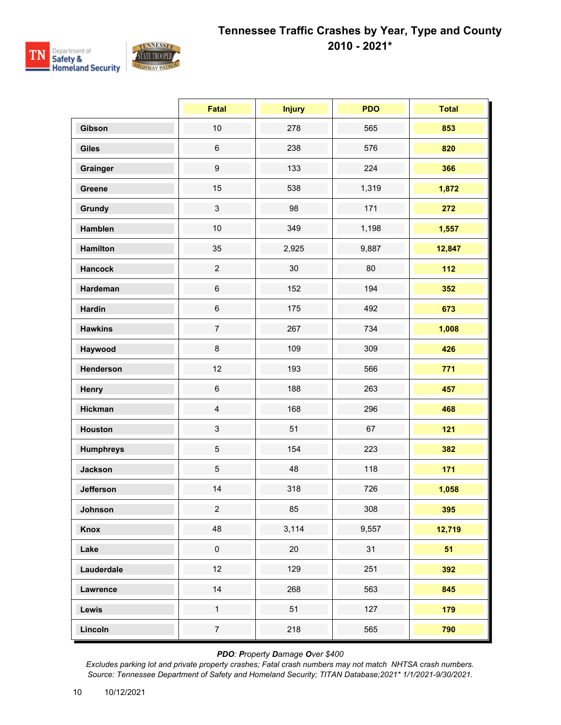

|                  | Fatal            | <b>Injury</b> | <b>PDO</b> | <b>Total</b> |
|------------------|------------------|---------------|------------|--------------|
| Gibson           | 10               | 278           | 565        | 853          |
| <b>Giles</b>     | $\,6$            | 238           | 576        | 820          |
| Grainger         | $\boldsymbol{9}$ | 133           | 224        | 366          |
| Greene           | 15               | 538           | 1,319      | 1,872        |
| <b>Grundy</b>    | $\sqrt{3}$       | 98            | 171        | 272          |
| Hamblen          | 10               | 349           | 1,198      | 1,557        |
| <b>Hamilton</b>  | 35               | 2,925         | 9,887      | 12,847       |
| <b>Hancock</b>   | $\overline{c}$   | $30\,$        | 80         | $112$        |
| Hardeman         | $\,6\,$          | 152           | 194        | 352          |
| <b>Hardin</b>    | $\,6\,$          | 175           | 492        | 673          |
| <b>Hawkins</b>   | $\overline{7}$   | 267           | 734        | 1,008        |
| Haywood          | $\bf 8$          | 109           | 309        | 426          |
| Henderson        | 12               | 193           | 566        | 771          |
| Henry            | $\,6$            | 188           | 263        | 457          |
| <b>Hickman</b>   | $\overline{4}$   | 168           | 296        | 468          |
| Houston          | $\sqrt{3}$       | 51            | 67         | $121$        |
| <b>Humphreys</b> | $\overline{5}$   | 154           | 223        | 382          |
| <b>Jackson</b>   | $\sqrt{5}$       | 48            | 118        | 171          |
| <b>Jefferson</b> | 14               | 318           | 726        | 1,058        |
| Johnson          | $\overline{2}$   | 85            | 308        | 395          |
| Knox             | 48               | 3,114         | 9,557      | 12,719       |
| Lake             | $\pmb{0}$        | 20            | 31         | 51           |
| Lauderdale       | 12               | 129           | 251        | 392          |
| Lawrence         | 14               | 268           | 563        | 845          |
| Lewis            | $\mathbf{1}$     | 51            | 127        | 179          |
| Lincoln          | $\overline{7}$   | 218           | 565        | 790          |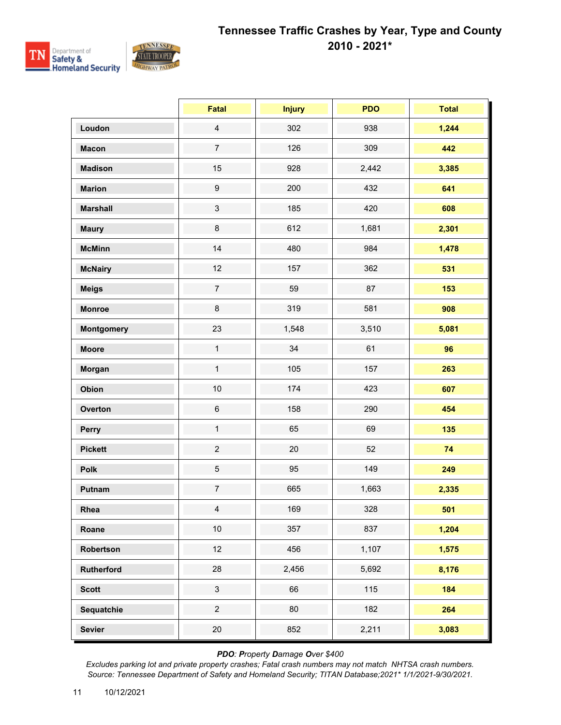

|                   | Fatal            | <b>Injury</b> | <b>PDO</b> | <b>Total</b> |
|-------------------|------------------|---------------|------------|--------------|
| Loudon            | $\overline{4}$   | 302           | 938        | 1,244        |
| <b>Macon</b>      | $\overline{7}$   | 126           | 309        | 442          |
| <b>Madison</b>    | 15               | 928           | 2,442      | 3,385        |
| <b>Marion</b>     | $\boldsymbol{9}$ | 200           | 432        | 641          |
| <b>Marshall</b>   | $\mathfrak{S}$   | 185           | 420        | 608          |
| <b>Maury</b>      | 8                | 612           | 1,681      | 2,301        |
| <b>McMinn</b>     | 14               | 480           | 984        | 1,478        |
| <b>McNairy</b>    | 12               | 157           | 362        | 531          |
| <b>Meigs</b>      | $\boldsymbol{7}$ | 59            | 87         | 153          |
| <b>Monroe</b>     | 8                | 319           | 581        | 908          |
| <b>Montgomery</b> | 23               | 1,548         | 3,510      | 5,081        |
| <b>Moore</b>      | $\mathbf{1}$     | 34            | 61         | 96           |
| Morgan            | $\mathbf{1}$     | 105           | 157        | 263          |
| Obion             | 10               | 174           | 423        | 607          |
| Overton           | $\,6$            | 158           | 290        | 454          |
| Perry             | $\mathbf{1}$     | 65            | 69         | 135          |
| <b>Pickett</b>    | $\overline{c}$   | 20            | 52         | 74           |
| Polk              | $\,$ 5 $\,$      | 95            | 149        | 249          |
| Putnam            | $\boldsymbol{7}$ | 665           | 1,663      | 2,335        |
| Rhea              | $\overline{4}$   | 169           | 328        | 501          |
| Roane             | $10\,$           | 357           | 837        | 1,204        |
| Robertson         | 12               | 456           | 1,107      | 1,575        |
| <b>Rutherford</b> | 28               | 2,456         | 5,692      | 8,176        |
| <b>Scott</b>      | $\mathbf{3}$     | 66            | 115        | 184          |
| Sequatchie        | $\overline{2}$   | 80            | 182        | 264          |
| <b>Sevier</b>     | 20               | 852           | 2,211      | 3,083        |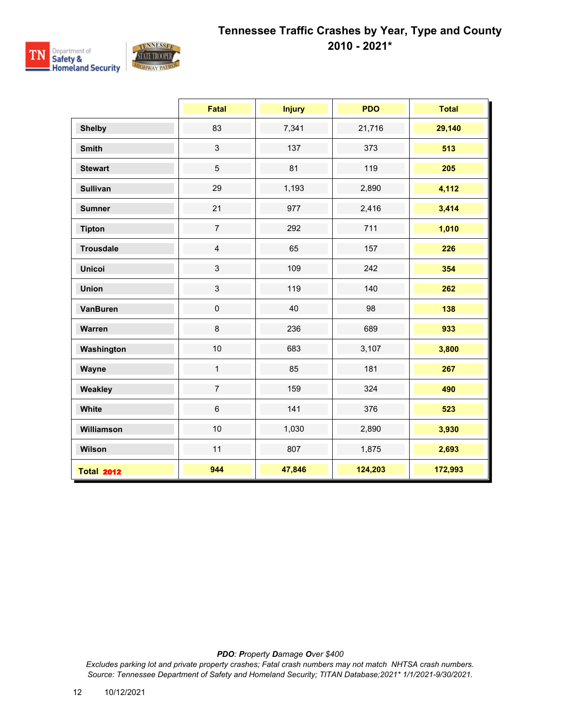

|                   | <b>Fatal</b>   | <b>Injury</b> | <b>PDO</b> | <b>Total</b> |
|-------------------|----------------|---------------|------------|--------------|
| <b>Shelby</b>     | 83             | 7,341         | 21,716     | 29,140       |
| <b>Smith</b>      | $\mathfrak{S}$ | 137           | 373        | 513          |
| <b>Stewart</b>    | $\overline{5}$ | 81            | 119        | 205          |
| <b>Sullivan</b>   | 29             | 1,193         | 2,890      | 4,112        |
| <b>Sumner</b>     | 21             | 977           | 2,416      | 3,414        |
| <b>Tipton</b>     | $\overline{7}$ | 292           | 711        | 1,010        |
| <b>Trousdale</b>  | $\overline{4}$ | 65            | 157        | 226          |
| <b>Unicoi</b>     | $\mathfrak{S}$ | 109           | 242        | 354          |
| <b>Union</b>      | $\mathfrak{S}$ | 119           | 140        | 262          |
| <b>VanBuren</b>   | $\pmb{0}$      | 40            | 98         | 138          |
| Warren            | 8              | 236           | 689        | 933          |
| Washington        | 10             | 683           | 3,107      | 3,800        |
| Wayne             | $\mathbf{1}$   | 85            | 181        | 267          |
| Weakley           | $\overline{7}$ | 159           | 324        | 490          |
| White             | $6\phantom{a}$ | 141           | 376        | 523          |
| Williamson        | 10             | 1,030         | 2,890      | 3,930        |
| Wilson            | 11             | 807           | 1,875      | 2,693        |
| <b>Total 2012</b> | 944            | 47,846        | 124,203    | 172,993      |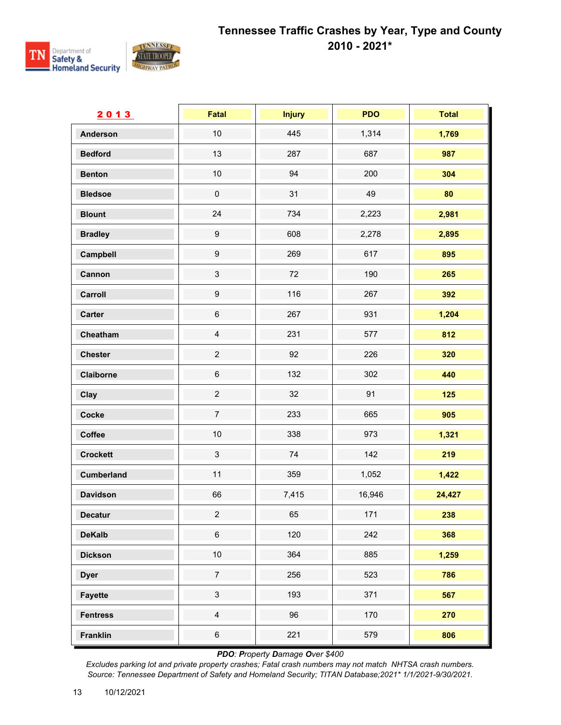

| 2013              | Fatal                     | <b>Injury</b> | <b>PDO</b> | <b>Total</b> |
|-------------------|---------------------------|---------------|------------|--------------|
| <b>Anderson</b>   | 10                        | 445           | 1,314      | 1,769        |
| <b>Bedford</b>    | 13                        | 287           | 687        | 987          |
| <b>Benton</b>     | 10                        | 94            | 200        | 304          |
| <b>Bledsoe</b>    | $\pmb{0}$                 | 31            | 49         | 80           |
| <b>Blount</b>     | 24                        | 734           | 2,223      | 2,981        |
| <b>Bradley</b>    | $\boldsymbol{9}$          | 608           | 2,278      | 2,895        |
| Campbell          | $\boldsymbol{9}$          | 269           | 617        | 895          |
| Cannon            | $\ensuremath{\mathsf{3}}$ | 72            | 190        | 265          |
| Carroll           | $\boldsymbol{9}$          | 116           | 267        | 392          |
| <b>Carter</b>     | $\,6\,$                   | 267           | 931        | 1,204        |
| Cheatham          | $\overline{4}$            | 231           | 577        | 812          |
| <b>Chester</b>    | $\overline{c}$            | 92            | 226        | 320          |
| Claiborne         | $\,6$                     | 132           | 302        | 440          |
| Clay              | $\overline{c}$            | 32            | 91         | 125          |
| Cocke             | $\boldsymbol{7}$          | 233           | 665        | 905          |
| Coffee            | 10                        | 338           | 973        | 1,321        |
| <b>Crockett</b>   | $\mathfrak{S}$            | 74            | 142        | 219          |
| <b>Cumberland</b> | 11                        | 359           | 1,052      | 1,422        |
| <b>Davidson</b>   | 66                        | 7,415         | 16,946     | 24,427       |
| <b>Decatur</b>    | $\overline{c}$            | 65            | 171        | 238          |
| <b>DeKalb</b>     | $\,6$                     | 120           | 242        | 368          |
| <b>Dickson</b>    | $10$                      | 364           | 885        | 1,259        |
| <b>Dyer</b>       | $\boldsymbol{7}$          | 256           | 523        | 786          |
| <b>Fayette</b>    | $\sqrt{3}$                | 193           | 371        | 567          |
| <b>Fentress</b>   | $\overline{4}$            | 96            | 170        | 270          |
| <b>Franklin</b>   | $\,6\,$                   | 221           | 579        | 806          |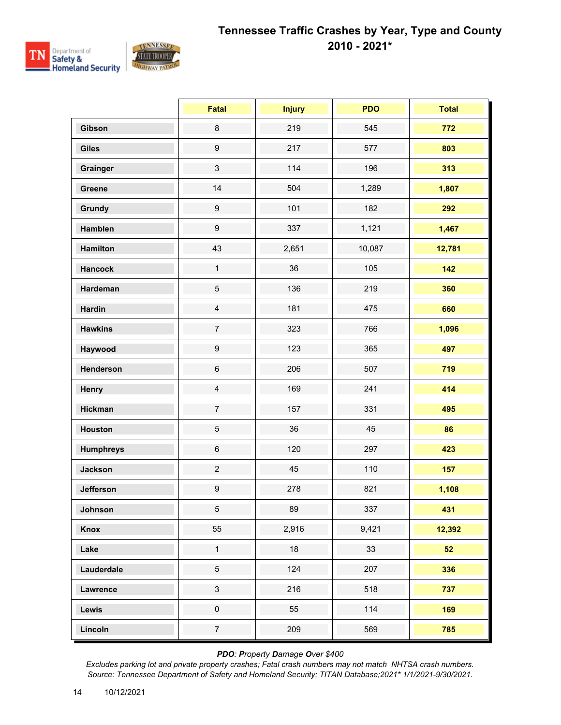

|                  | <b>Fatal</b>     | <b>Injury</b> | <b>PDO</b> | <b>Total</b> |
|------------------|------------------|---------------|------------|--------------|
| Gibson           | $\bf 8$          | 219           | 545        | 772          |
| <b>Giles</b>     | $\boldsymbol{9}$ | 217           | 577        | 803          |
| Grainger         | 3                | 114           | 196        | 313          |
| Greene           | 14               | 504           | 1,289      | 1,807        |
| Grundy           | $\boldsymbol{9}$ | 101           | 182        | 292          |
| Hamblen          | $\boldsymbol{9}$ | 337           | 1,121      | 1,467        |
| <b>Hamilton</b>  | 43               | 2,651         | 10,087     | 12,781       |
| <b>Hancock</b>   | $\mathbf{1}$     | 36            | 105        | 142          |
| Hardeman         | 5                | 136           | 219        | 360          |
| <b>Hardin</b>    | $\overline{4}$   | 181           | 475        | 660          |
| <b>Hawkins</b>   | $\overline{7}$   | 323           | 766        | 1,096        |
| Haywood          | $\boldsymbol{9}$ | 123           | 365        | 497          |
| Henderson        | $\,6\,$          | 206           | 507        | 719          |
| Henry            | $\overline{4}$   | 169           | 241        | 414          |
| <b>Hickman</b>   | $\overline{7}$   | 157           | 331        | 495          |
| <b>Houston</b>   | 5                | 36            | 45         | 86           |
| <b>Humphreys</b> | $\,6$            | 120           | 297        | 423          |
| <b>Jackson</b>   | $\overline{c}$   | 45            | 110        | 157          |
| <b>Jefferson</b> | $\boldsymbol{9}$ | 278           | 821        | 1,108        |
| Johnson          | 5 <sub>5</sub>   | 89            | 337        | 431          |
| Knox             | 55               | 2,916         | 9,421      | 12,392       |
| Lake             | $\mathbf{1}$     | 18            | 33         | 52           |
| Lauderdale       | 5                | 124           | 207        | 336          |
| Lawrence         | $\mathfrak{S}$   | 216           | 518        | 737          |
| Lewis            | $\pmb{0}$        | 55            | 114        | 169          |
| Lincoln          | $\overline{7}$   | 209           | 569        | 785          |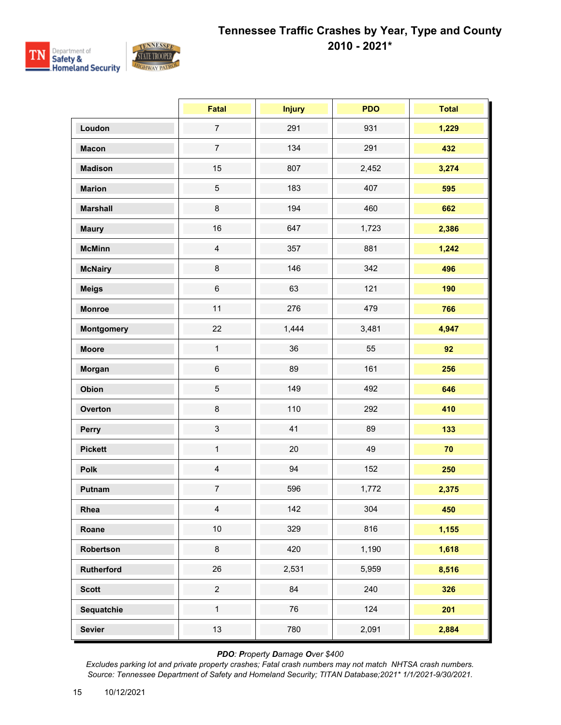

|                   | <b>Fatal</b>              | <b>Injury</b> | <b>PDO</b> | <b>Total</b> |
|-------------------|---------------------------|---------------|------------|--------------|
| Loudon            | $\overline{7}$            | 291           | 931        | 1,229        |
| <b>Macon</b>      | $\overline{7}$            | 134           | 291        | 432          |
| <b>Madison</b>    | 15                        | 807           | 2,452      | 3,274        |
| <b>Marion</b>     | $\sqrt{5}$                | 183           | 407        | 595          |
| <b>Marshall</b>   | 8                         | 194           | 460        | 662          |
| <b>Maury</b>      | 16                        | 647           | 1,723      | 2,386        |
| <b>McMinn</b>     | $\overline{4}$            | 357           | 881        | 1,242        |
| <b>McNairy</b>    | 8                         | 146           | 342        | 496          |
| <b>Meigs</b>      | $\,6\,$                   | 63            | 121        | 190          |
| <b>Monroe</b>     | 11                        | 276           | 479        | 766          |
| <b>Montgomery</b> | 22                        | 1,444         | 3,481      | 4,947        |
| <b>Moore</b>      | $\mathbf{1}$              | 36            | 55         | 92           |
| Morgan            | $\,6$                     | 89            | 161        | 256          |
| Obion             | $\,$ 5 $\,$               | 149           | 492        | 646          |
| Overton           | $\bf 8$                   | 110           | 292        | 410          |
| Perry             | $\ensuremath{\mathsf{3}}$ | 41            | 89         | 133          |
| <b>Pickett</b>    | $\mathbf{1}$              | 20            | 49         | 70           |
| Polk              | $\overline{4}$            | 94            | 152        | 250          |
| Putnam            | $\overline{7}$            | 596           | 1,772      | 2,375        |
| Rhea              | $\overline{4}$            | 142           | 304        | 450          |
| Roane             | $10\,$                    | 329           | 816        | 1,155        |
| Robertson         | $\bf 8$                   | 420           | 1,190      | 1,618        |
| Rutherford        | 26                        | 2,531         | 5,959      | 8,516        |
| <b>Scott</b>      | $\overline{a}$            | 84            | 240        | 326          |
| Sequatchie        | $\mathbf{1}$              | 76            | 124        | 201          |
| <b>Sevier</b>     | 13                        | 780           | 2,091      | 2,884        |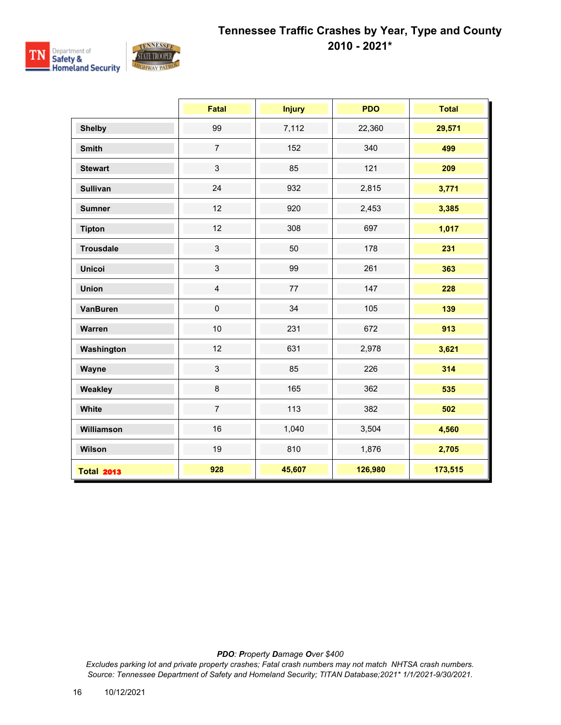

|                   | <b>Fatal</b>   | <b>Injury</b> | <b>PDO</b> | <b>Total</b> |
|-------------------|----------------|---------------|------------|--------------|
| <b>Shelby</b>     | 99             | 7,112         | 22,360     | 29,571       |
| <b>Smith</b>      | $\overline{7}$ | 152           | 340        | 499          |
| <b>Stewart</b>    | $\mathbf{3}$   | 85            | 121        | 209          |
| <b>Sullivan</b>   | 24             | 932           | 2,815      | 3,771        |
| <b>Sumner</b>     | 12             | 920           | 2,453      | 3,385        |
| <b>Tipton</b>     | 12             | 308           | 697        | 1,017        |
| <b>Trousdale</b>  | $\mathbf{3}$   | 50            | 178        | 231          |
| <b>Unicoi</b>     | $\mathbf{3}$   | 99            | 261        | 363          |
| <b>Union</b>      | $\overline{4}$ | 77            | 147        | 228          |
| <b>VanBuren</b>   | $\pmb{0}$      | 34            | 105        | 139          |
| Warren            | 10             | 231           | 672        | 913          |
| Washington        | 12             | 631           | 2,978      | 3,621        |
| Wayne             | $\mathfrak{S}$ | 85            | 226        | 314          |
| Weakley           | $\bf 8$        | 165           | 362        | 535          |
| White             | $\overline{7}$ | 113           | 382        | 502          |
| Williamson        | 16             | 1,040         | 3,504      | 4,560        |
| Wilson            | 19             | 810           | 1,876      | 2,705        |
| <b>Total 2013</b> | 928            | 45,607        | 126,980    | 173,515      |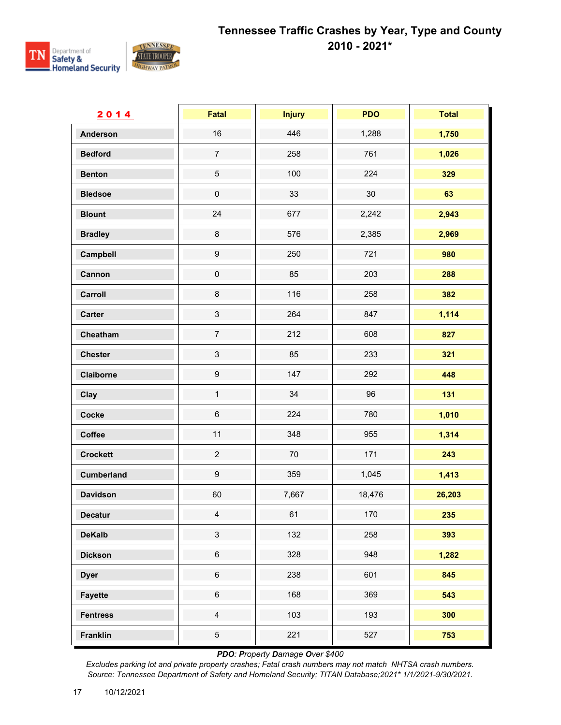

| 2014              | Fatal                     | <b>Injury</b> | <b>PDO</b> | <b>Total</b> |
|-------------------|---------------------------|---------------|------------|--------------|
| <b>Anderson</b>   | 16                        | 446           | 1,288      | 1,750        |
| <b>Bedford</b>    | $\boldsymbol{7}$          | 258           | 761        | 1,026        |
| <b>Benton</b>     | $\,$ 5 $\,$               | 100           | 224        | 329          |
| <b>Bledsoe</b>    | $\pmb{0}$                 | 33            | 30         | 63           |
| <b>Blount</b>     | 24                        | 677           | 2,242      | 2,943        |
| <b>Bradley</b>    | $\bf 8$                   | 576           | 2,385      | 2,969        |
| Campbell          | $\boldsymbol{9}$          | 250           | 721        | 980          |
| Cannon            | $\pmb{0}$                 | 85            | 203        | 288          |
| Carroll           | $\bf 8$                   | 116           | 258        | 382          |
| <b>Carter</b>     | $\ensuremath{\mathsf{3}}$ | 264           | 847        | 1,114        |
| Cheatham          | $\overline{7}$            | 212           | 608        | 827          |
| <b>Chester</b>    | $\sqrt{3}$                | 85            | 233        | 321          |
| Claiborne         | $\boldsymbol{9}$          | 147           | 292        | 448          |
| Clay              | $\mathbf{1}$              | 34            | 96         | 131          |
| Cocke             | $\,6$                     | 224           | 780        | 1,010        |
| Coffee            | 11                        | 348           | 955        | 1,314        |
| <b>Crockett</b>   | $\sqrt{2}$                | $70\,$        | 171        | 243          |
| <b>Cumberland</b> | $\boldsymbol{9}$          | 359           | 1,045      | 1,413        |
| <b>Davidson</b>   | 60                        | 7,667         | 18,476     | 26,203       |
| <b>Decatur</b>    | $\overline{4}$            | 61            | 170        | 235          |
| <b>DeKalb</b>     | $\mathfrak{S}$            | 132           | 258        | 393          |
| <b>Dickson</b>    | $\,6$                     | 328           | 948        | 1,282        |
| <b>Dyer</b>       | $\,6\,$                   | 238           | 601        | 845          |
| <b>Fayette</b>    | $\,6$                     | 168           | 369        | 543          |
| <b>Fentress</b>   | $\overline{4}$            | 103           | 193        | 300          |
| <b>Franklin</b>   | $\overline{5}$            | 221           | 527        | 753          |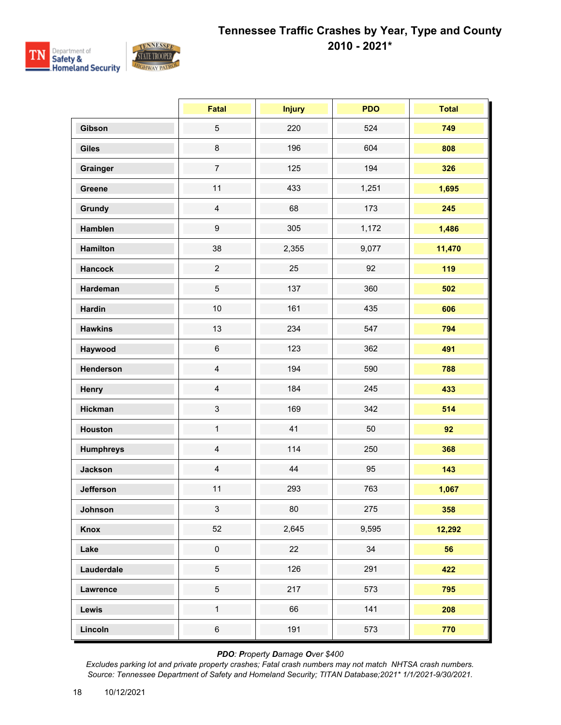

|                  | Fatal            | <b>Injury</b> | <b>PDO</b> | <b>Total</b> |
|------------------|------------------|---------------|------------|--------------|
| Gibson           | $\sqrt{5}$       | 220           | 524        | 749          |
| <b>Giles</b>     | $\bf 8$          | 196           | 604        | 808          |
| Grainger         | $\overline{7}$   | 125           | 194        | 326          |
| Greene           | 11               | 433           | 1,251      | 1,695        |
| <b>Grundy</b>    | $\overline{4}$   | 68            | 173        | 245          |
| Hamblen          | $\boldsymbol{9}$ | 305           | 1,172      | 1,486        |
| <b>Hamilton</b>  | 38               | 2,355         | 9,077      | 11,470       |
| <b>Hancock</b>   | $\overline{2}$   | 25            | 92         | 119          |
| Hardeman         | $\,$ 5 $\,$      | 137           | 360        | 502          |
| <b>Hardin</b>    | 10               | 161           | 435        | 606          |
| <b>Hawkins</b>   | 13               | 234           | 547        | 794          |
| Haywood          | $\,6\,$          | 123           | 362        | 491          |
| Henderson        | $\overline{4}$   | 194           | 590        | 788          |
| Henry            | $\overline{4}$   | 184           | 245        | 433          |
| <b>Hickman</b>   | $\sqrt{3}$       | 169           | 342        | 514          |
| Houston          | $\mathbf{1}$     | 41            | 50         | 92           |
| <b>Humphreys</b> | $\overline{4}$   | 114           | 250        | 368          |
| <b>Jackson</b>   | $\overline{4}$   | 44            | 95         | 143          |
| <b>Jefferson</b> | 11               | 293           | 763        | 1,067        |
| Johnson          | 3 <sup>1</sup>   | 80            | 275        | 358          |
| Knox             | 52               | 2,645         | 9,595      | 12,292       |
| Lake             | $\pmb{0}$        | 22            | 34         | 56           |
| Lauderdale       | $\sqrt{5}$       | 126           | 291        | 422          |
| Lawrence         | $\sqrt{5}$       | 217           | 573        | 795          |
| Lewis            | $\mathbf{1}$     | 66            | 141        | 208          |
| Lincoln          | $\,6$            | 191           | 573        | 770          |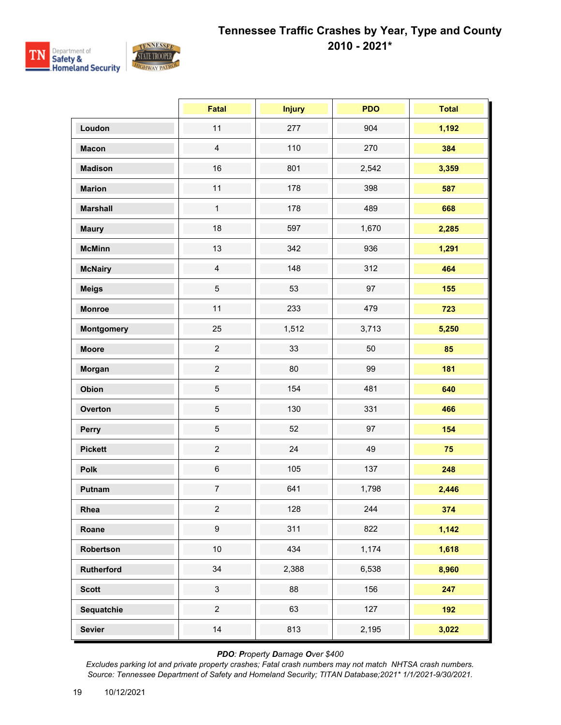

|                   | <b>Fatal</b>     | <b>Injury</b> | <b>PDO</b> | <b>Total</b> |
|-------------------|------------------|---------------|------------|--------------|
| Loudon            | 11               | 277           | 904        | 1,192        |
| <b>Macon</b>      | $\overline{4}$   | 110           | 270        | 384          |
| <b>Madison</b>    | 16               | 801           | 2,542      | 3,359        |
| <b>Marion</b>     | 11               | 178           | 398        | 587          |
| <b>Marshall</b>   | $\mathbf{1}$     | 178           | 489        | 668          |
| <b>Maury</b>      | 18               | 597           | 1,670      | 2,285        |
| <b>McMinn</b>     | 13               | 342           | 936        | 1,291        |
| <b>McNairy</b>    | $\overline{4}$   | 148           | 312        | 464          |
| <b>Meigs</b>      | 5                | 53            | 97         | 155          |
| <b>Monroe</b>     | 11               | 233           | 479        | 723          |
| <b>Montgomery</b> | 25               | 1,512         | 3,713      | 5,250        |
| <b>Moore</b>      | $\overline{2}$   | 33            | 50         | 85           |
| Morgan            | $\overline{2}$   | 80            | 99         | 181          |
| Obion             | $\overline{5}$   | 154           | 481        | 640          |
| Overton           | $\,$ 5 $\,$      | 130           | 331        | 466          |
| Perry             | $\,$ 5 $\,$      | 52            | 97         | 154          |
| <b>Pickett</b>    | $\overline{2}$   | 24            | 49         | 75           |
| Polk              | $\,6\,$          | 105           | 137        | 248          |
| Putnam            | $\overline{7}$   | 641           | 1,798      | 2,446        |
| Rhea              | $\overline{a}$   | 128           | 244        | 374          |
| Roane             | $\boldsymbol{9}$ | 311           | 822        | 1,142        |
| Robertson         | $10$             | 434           | 1,174      | 1,618        |
| Rutherford        | 34               | 2,388         | 6,538      | 8,960        |
| <b>Scott</b>      | $\mathfrak{S}$   | 88            | 156        | 247          |
| Sequatchie        | $\overline{2}$   | 63            | 127        | 192          |
| <b>Sevier</b>     | 14               | 813           | 2,195      | 3,022        |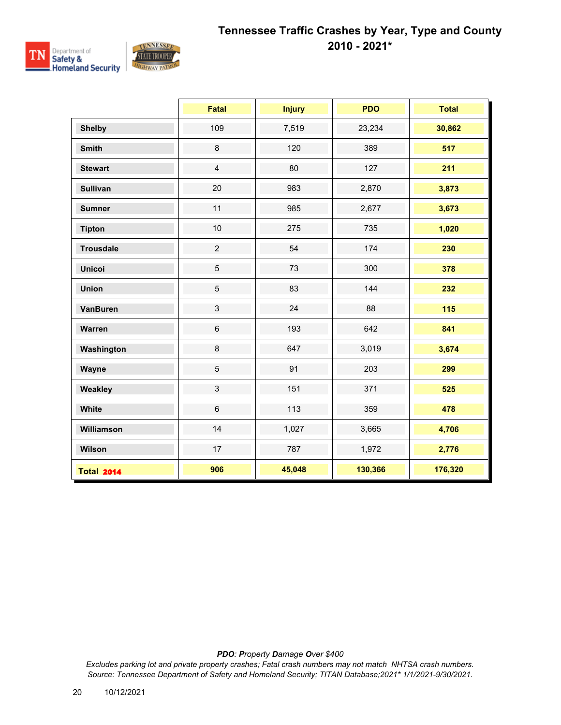

|                   | <b>Fatal</b>   | <b>Injury</b> | <b>PDO</b> | <b>Total</b> |
|-------------------|----------------|---------------|------------|--------------|
| <b>Shelby</b>     | 109            | 7,519         | 23,234     | 30,862       |
| <b>Smith</b>      | $\,8\,$        | 120           | 389        | 517          |
| <b>Stewart</b>    | $\overline{4}$ | 80            | 127        | 211          |
| <b>Sullivan</b>   | 20             | 983           | 2,870      | 3,873        |
| <b>Sumner</b>     | 11             | 985           | 2,677      | 3,673        |
| <b>Tipton</b>     | 10             | 275           | 735        | 1,020        |
| <b>Trousdale</b>  | $\overline{2}$ | 54            | 174        | 230          |
| <b>Unicoi</b>     | $\overline{5}$ | 73            | 300        | 378          |
| <b>Union</b>      | $\sqrt{5}$     | 83            | 144        | 232          |
| <b>VanBuren</b>   | $\mathbf{3}$   | 24            | 88         | 115          |
| Warren            | $\,6\,$        | 193           | 642        | 841          |
| Washington        | $\bf 8$        | 647           | 3,019      | 3,674        |
| Wayne             | $\overline{5}$ | 91            | 203        | 299          |
| Weakley           | $\mathfrak{S}$ | 151           | 371        | 525          |
| White             | $6\phantom{1}$ | 113           | 359        | 478          |
| Williamson        | 14             | 1,027         | 3,665      | 4,706        |
| Wilson            | 17             | 787           | 1,972      | 2,776        |
| <b>Total 2014</b> | 906            | 45,048        | 130,366    | 176,320      |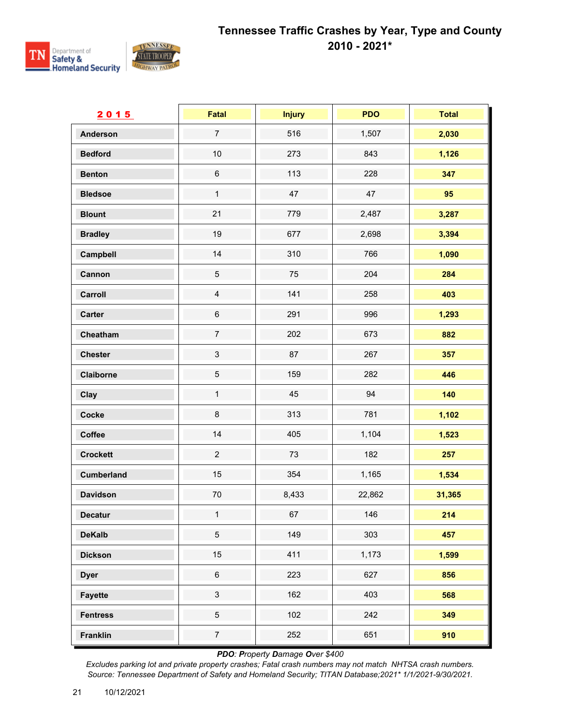

| 2015              | Fatal          | <b>Injury</b> | <b>PDO</b> | <b>Total</b> |
|-------------------|----------------|---------------|------------|--------------|
| <b>Anderson</b>   | $\overline{7}$ | 516           | 1,507      | 2,030        |
| <b>Bedford</b>    | $10$           | 273           | 843        | 1,126        |
| <b>Benton</b>     | $\,6$          | 113           | 228        | 347          |
| <b>Bledsoe</b>    | $\mathbf{1}$   | 47            | 47         | 95           |
| <b>Blount</b>     | 21             | 779           | 2,487      | 3,287        |
| <b>Bradley</b>    | 19             | 677           | 2,698      | 3,394        |
| Campbell          | 14             | 310           | 766        | 1,090        |
| Cannon            | $\,$ 5 $\,$    | 75            | 204        | 284          |
| Carroll           | $\overline{4}$ | 141           | 258        | 403          |
| <b>Carter</b>     | $\,6$          | 291           | 996        | 1,293        |
| Cheatham          | $\overline{7}$ | 202           | 673        | 882          |
| <b>Chester</b>    | $\mathbf{3}$   | 87            | 267        | 357          |
| Claiborne         | $\,$ 5 $\,$    | 159           | 282        | 446          |
| Clay              | $\mathbf{1}$   | 45            | 94         | 140          |
| Cocke             | $\bf 8$        | 313           | 781        | 1,102        |
| Coffee            | 14             | 405           | 1,104      | 1,523        |
| <b>Crockett</b>   | $\overline{2}$ | 73            | 182        | 257          |
| <b>Cumberland</b> | 15             | 354           | 1,165      | 1,534        |
| <b>Davidson</b>   | 70             | 8,433         | 22,862     | 31,365       |
| <b>Decatur</b>    | $\mathbf{1}$   | 67            | 146        | $214$        |
| <b>DeKalb</b>     | $\overline{5}$ | 149           | 303        | 457          |
| <b>Dickson</b>    | 15             | 411           | 1,173      | 1,599        |
| <b>Dyer</b>       | $\,6\,$        | 223           | 627        | 856          |
| <b>Fayette</b>    | $\mathbf{3}$   | 162           | 403        | 568          |
| <b>Fentress</b>   | $\overline{5}$ | 102           | 242        | 349          |
| Franklin          | $\overline{7}$ | 252           | 651        | 910          |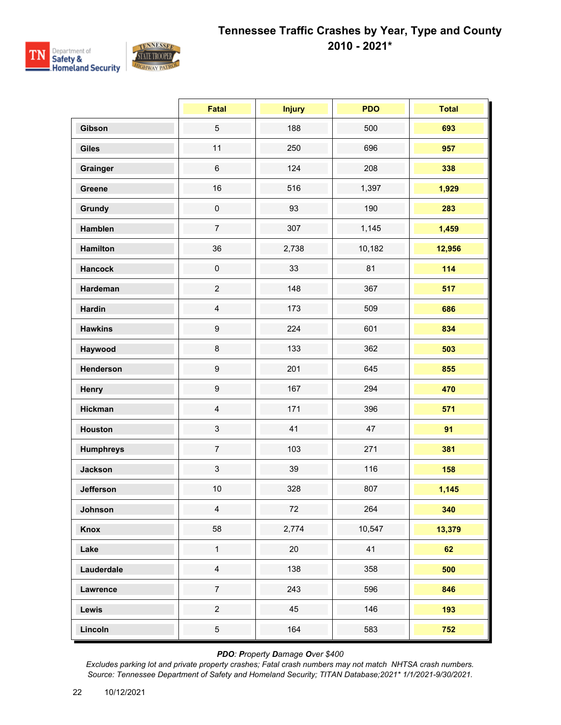

|                  | Fatal                     | <b>Injury</b> | <b>PDO</b> | <b>Total</b> |
|------------------|---------------------------|---------------|------------|--------------|
| Gibson           | $\sqrt{5}$                | 188           | 500        | 693          |
| <b>Giles</b>     | 11                        | 250           | 696        | 957          |
| Grainger         | $\,6$                     | 124           | 208        | 338          |
| Greene           | 16                        | 516           | 1,397      | 1,929        |
| <b>Grundy</b>    | $\pmb{0}$                 | 93            | 190        | 283          |
| Hamblen          | $\overline{7}$            | 307           | 1,145      | 1,459        |
| <b>Hamilton</b>  | 36                        | 2,738         | 10,182     | 12,956       |
| <b>Hancock</b>   | $\pmb{0}$                 | 33            | 81         | 114          |
| Hardeman         | $\mathbf 2$               | 148           | 367        | 517          |
| <b>Hardin</b>    | $\overline{4}$            | 173           | 509        | 686          |
| <b>Hawkins</b>   | $\boldsymbol{9}$          | 224           | 601        | 834          |
| Haywood          | 8                         | 133           | 362        | 503          |
| Henderson        | $\boldsymbol{9}$          | 201           | 645        | 855          |
| Henry            | $\boldsymbol{9}$          | 167           | 294        | 470          |
| <b>Hickman</b>   | $\overline{4}$            | 171           | 396        | 571          |
| Houston          | $\ensuremath{\mathsf{3}}$ | 41            | 47         | 91           |
| <b>Humphreys</b> | $\overline{7}$            | 103           | 271        | 381          |
| <b>Jackson</b>   | $\sqrt{3}$                | 39            | 116        | 158          |
| Jefferson        | 10                        | 328           | 807        | 1,145        |
| Johnson          | $\overline{4}$            | $72\,$        | 264        | 340          |
| Knox             | 58                        | 2,774         | 10,547     | 13,379       |
| Lake             | $\mathbf{1}$              | 20            | 41         | 62           |
| Lauderdale       | $\overline{4}$            | 138           | 358        | 500          |
| Lawrence         | $\overline{7}$            | 243           | 596        | 846          |
| <b>Lewis</b>     | $\overline{2}$            | 45            | 146        | 193          |
| Lincoln          | $\overline{5}$            | 164           | 583        | 752          |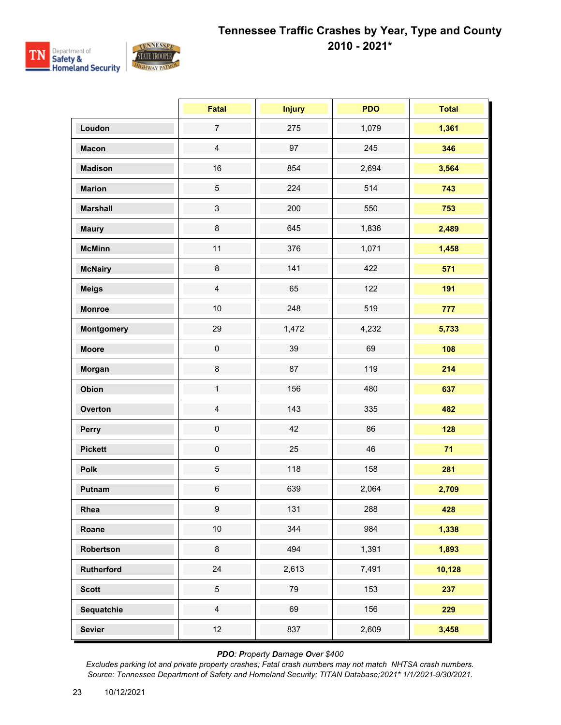

|                   | <b>Fatal</b>   | <b>Injury</b> | <b>PDO</b> | <b>Total</b> |
|-------------------|----------------|---------------|------------|--------------|
| Loudon            | $\overline{7}$ | 275           | 1,079      | 1,361        |
| <b>Macon</b>      | $\overline{4}$ | 97            | 245        | 346          |
| <b>Madison</b>    | 16             | 854           | 2,694      | 3,564        |
| <b>Marion</b>     | 5              | 224           | 514        | 743          |
| <b>Marshall</b>   | $\mathbf{3}$   | 200           | 550        | 753          |
| <b>Maury</b>      | 8              | 645           | 1,836      | 2,489        |
| <b>McMinn</b>     | 11             | 376           | 1,071      | 1,458        |
| <b>McNairy</b>    | $\bf 8$        | 141           | 422        | 571          |
| <b>Meigs</b>      | $\overline{4}$ | 65            | 122        | 191          |
| <b>Monroe</b>     | 10             | 248           | 519        | 777          |
| <b>Montgomery</b> | 29             | 1,472         | 4,232      | 5,733        |
| <b>Moore</b>      | $\pmb{0}$      | 39            | 69         | 108          |
| Morgan            | $\bf 8$        | 87            | 119        | 214          |
| Obion             | $\mathbf{1}$   | 156           | 480        | 637          |
| Overton           | $\overline{4}$ | 143           | 335        | 482          |
| Perry             | $\pmb{0}$      | 42            | 86         | 128          |
| <b>Pickett</b>    | $\pmb{0}$      | 25            | 46         | 71           |
| Polk              | 5              | 118           | 158        | 281          |
| Putnam            | $\,6\,$        | 639           | 2,064      | 2,709        |
| Rhea              | 9              | 131           | 288        | 428          |
| Roane             | 10             | 344           | 984        | 1,338        |
| Robertson         | 8              | 494           | 1,391      | 1,893        |
| Rutherford        | 24             | 2,613         | 7,491      | 10,128       |
| <b>Scott</b>      | 5              | 79            | 153        | 237          |
| Sequatchie        | $\overline{4}$ | 69            | 156        | 229          |
| <b>Sevier</b>     | 12             | 837           | 2,609      | 3,458        |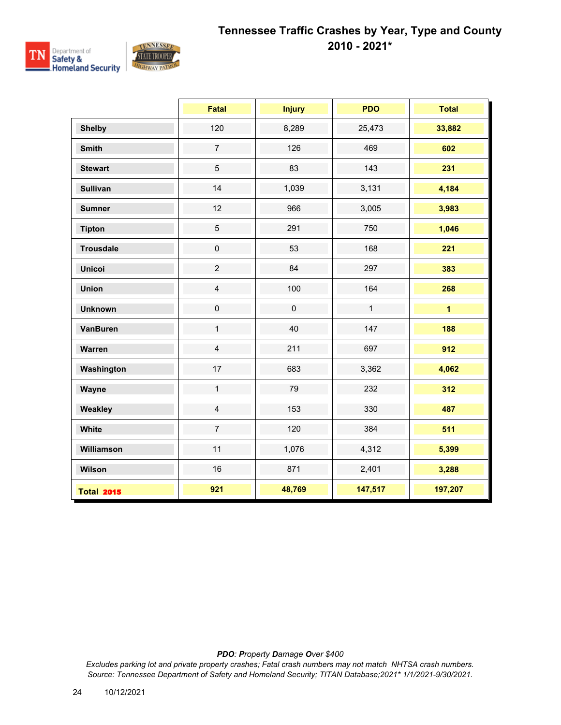

|                   | <b>Fatal</b>   | <b>Injury</b> | <b>PDO</b>   | <b>Total</b>   |
|-------------------|----------------|---------------|--------------|----------------|
| <b>Shelby</b>     | 120            | 8,289         | 25,473       | 33,882         |
| <b>Smith</b>      | $\overline{7}$ | 126           | 469          | 602            |
| <b>Stewart</b>    | $\sqrt{5}$     | 83            | 143          | 231            |
| <b>Sullivan</b>   | 14             | 1,039         | 3,131        | 4,184          |
| <b>Sumner</b>     | 12             | 966           | 3,005        | 3,983          |
| <b>Tipton</b>     | $\overline{5}$ | 291           | 750          | 1,046          |
| <b>Trousdale</b>  | $\pmb{0}$      | 53            | 168          | 221            |
| <b>Unicoi</b>     | $\overline{2}$ | 84            | 297          | 383            |
| <b>Union</b>      | $\overline{4}$ | 100           | 164          | 268            |
| <b>Unknown</b>    | $\pmb{0}$      | $\pmb{0}$     | $\mathbf{1}$ | $\overline{1}$ |
| <b>VanBuren</b>   | $\mathbf{1}$   | 40            | 147          | 188            |
| Warren            | $\overline{4}$ | 211           | 697          | 912            |
| Washington        | 17             | 683           | 3,362        | 4,062          |
| Wayne             | $\mathbf{1}$   | 79            | 232          | 312            |
| Weakley           | $\overline{4}$ | 153           | 330          | 487            |
| White             | $\overline{7}$ | 120           | 384          | 511            |
| Williamson        | 11             | 1,076         | 4,312        | 5,399          |
| Wilson            | 16             | 871           | 2,401        | 3,288          |
| <b>Total 2015</b> | 921            | 48,769        | 147,517      | 197,207        |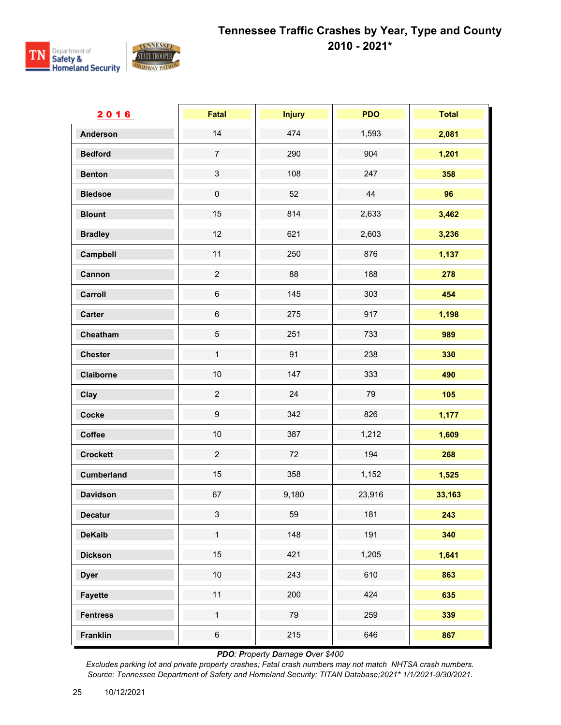

| 2016              | Fatal                     | <b>Injury</b> | <b>PDO</b> | <b>Total</b> |
|-------------------|---------------------------|---------------|------------|--------------|
| <b>Anderson</b>   | 14                        | 474           | 1,593      | 2,081        |
| <b>Bedford</b>    | $\overline{7}$            | 290           | 904        | 1,201        |
| <b>Benton</b>     | $\ensuremath{\mathsf{3}}$ | 108           | 247        | 358          |
| <b>Bledsoe</b>    | $\pmb{0}$                 | 52            | 44         | 96           |
| <b>Blount</b>     | 15                        | 814           | 2,633      | 3,462        |
| <b>Bradley</b>    | 12                        | 621           | 2,603      | 3,236        |
| Campbell          | 11                        | 250           | 876        | 1,137        |
| Cannon            | $\overline{c}$            | 88            | 188        | 278          |
| Carroll           | $\,6$                     | 145           | 303        | 454          |
| <b>Carter</b>     | $\,6$                     | 275           | 917        | 1,198        |
| Cheatham          | $\sqrt{5}$                | 251           | 733        | 989          |
| <b>Chester</b>    | $\mathbf 1$               | 91            | 238        | 330          |
| Claiborne         | 10                        | 147           | 333        | 490          |
| Clay              | $\overline{c}$            | 24            | 79         | 105          |
| Cocke             | $\boldsymbol{9}$          | 342           | 826        | 1,177        |
| Coffee            | $10$                      | 387           | 1,212      | 1,609        |
| <b>Crockett</b>   | $\overline{c}$            | 72            | 194        | 268          |
| <b>Cumberland</b> | 15                        | 358           | 1,152      | 1,525        |
| <b>Davidson</b>   | 67                        | 9,180         | 23,916     | 33,163       |
| <b>Decatur</b>    | $\mathbf{3}$              | 59            | 181        | 243          |
| <b>DeKalb</b>     | $\mathbf 1$               | 148           | 191        | 340          |
| <b>Dickson</b>    | 15                        | 421           | 1,205      | 1,641        |
| <b>Dyer</b>       | $10$                      | 243           | 610        | 863          |
| <b>Fayette</b>    | 11                        | 200           | 424        | 635          |
| <b>Fentress</b>   | $\mathbf{1}$              | 79            | 259        | 339          |
| <b>Franklin</b>   | $\,6$                     | 215           | 646        | 867          |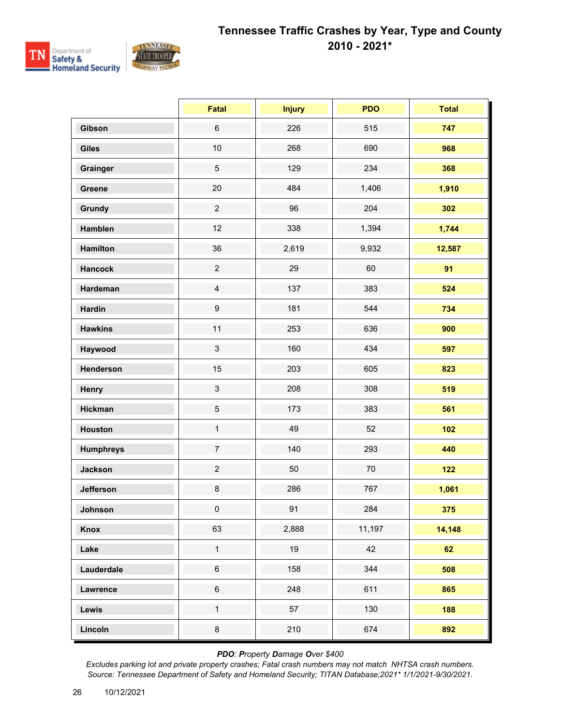

|                  | Fatal            | <b>Injury</b> | <b>PDO</b> | <b>Total</b> |
|------------------|------------------|---------------|------------|--------------|
| Gibson           | $\,6\,$          | 226           | 515        | 747          |
| <b>Giles</b>     | $10$             | 268           | 690        | 968          |
| Grainger         | $\overline{5}$   | 129           | 234        | 368          |
| Greene           | 20               | 484           | 1,406      | 1,910        |
| Grundy           | $\overline{c}$   | 96            | 204        | 302          |
| Hamblen          | 12               | 338           | 1,394      | 1,744        |
| <b>Hamilton</b>  | 36               | 2,619         | 9,932      | 12,587       |
| <b>Hancock</b>   | $\overline{c}$   | 29            | 60         | 91           |
| Hardeman         | $\overline{4}$   | 137           | 383        | 524          |
| <b>Hardin</b>    | $\boldsymbol{9}$ | 181           | 544        | 734          |
| <b>Hawkins</b>   | 11               | 253           | 636        | 900          |
| Haywood          | $\mathfrak{S}$   | 160           | 434        | 597          |
| Henderson        | 15               | 203           | 605        | 823          |
| Henry            | $\mathsf 3$      | 208           | 308        | 519          |
| <b>Hickman</b>   | $\mathbf 5$      | 173           | 383        | 561          |
| Houston          | $\mathbf{1}$     | 49            | 52         | 102          |
| <b>Humphreys</b> | $\overline{7}$   | 140           | 293        | 440          |
| <b>Jackson</b>   | $\overline{c}$   | 50            | 70         | $122$        |
| <b>Jefferson</b> | 8                | 286           | 767        | 1,061        |
| Johnson          | $\overline{0}$   | 91            | 284        | 375          |
| Knox             | 63               | 2,888         | 11,197     | 14,148       |
| Lake             | $\mathbf 1$      | 19            | 42         | 62           |
| Lauderdale       | $\,6\,$          | 158           | 344        | 508          |
| <b>Lawrence</b>  | $\,6\,$          | 248           | 611        | 865          |
| Lewis            | $\mathbf{1}$     | 57            | 130        | 188          |
| Lincoln          | $\bf 8$          | 210           | 674        | 892          |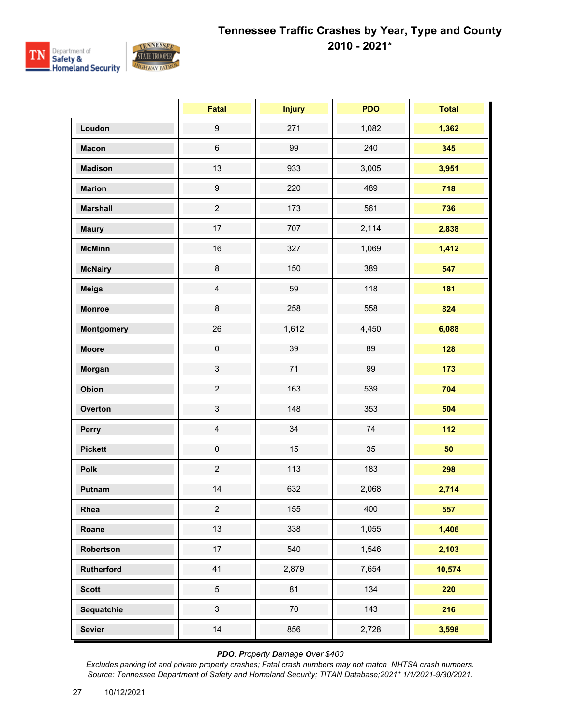

|                   | <b>Fatal</b>              | <b>Injury</b> | <b>PDO</b> | <b>Total</b> |
|-------------------|---------------------------|---------------|------------|--------------|
| Loudon            | $\boldsymbol{9}$          | 271           | 1,082      | 1,362        |
| <b>Macon</b>      | $\,6\,$                   | 99            | 240        | 345          |
| <b>Madison</b>    | 13                        | 933           | 3,005      | 3,951        |
| <b>Marion</b>     | $\boldsymbol{9}$          | 220           | 489        | 718          |
| <b>Marshall</b>   | $\overline{c}$            | 173           | 561        | 736          |
| <b>Maury</b>      | 17                        | 707           | 2,114      | 2,838        |
| <b>McMinn</b>     | 16                        | 327           | 1,069      | 1,412        |
| <b>McNairy</b>    | 8                         | 150           | 389        | 547          |
| <b>Meigs</b>      | $\overline{4}$            | 59            | 118        | 181          |
| <b>Monroe</b>     | $\bf 8$                   | 258           | 558        | 824          |
| <b>Montgomery</b> | 26                        | 1,612         | 4,450      | 6,088        |
| <b>Moore</b>      | $\pmb{0}$                 | 39            | 89         | 128          |
| Morgan            | 3                         | 71            | 99         | 173          |
| Obion             | $\overline{c}$            | 163           | 539        | 704          |
| Overton           | $\ensuremath{\mathsf{3}}$ | 148           | 353        | 504          |
| Perry             | $\overline{4}$            | 34            | 74         | $112$        |
| <b>Pickett</b>    | $\pmb{0}$                 | 15            | 35         | 50           |
| Polk              | $\overline{c}$            | 113           | 183        | 298          |
| Putnam            | 14                        | 632           | 2,068      | 2,714        |
| Rhea              | $\overline{2}$            | 155           | 400        | 557          |
| Roane             | 13                        | 338           | 1,055      | 1,406        |
| Robertson         | 17                        | 540           | 1,546      | 2,103        |
| Rutherford        | 41                        | 2,879         | 7,654      | 10,574       |
| <b>Scott</b>      | 5                         | 81            | 134        | 220          |
| Sequatchie        | $\mathfrak{S}$            | 70            | 143        | 216          |
| <b>Sevier</b>     | 14                        | 856           | 2,728      | 3,598        |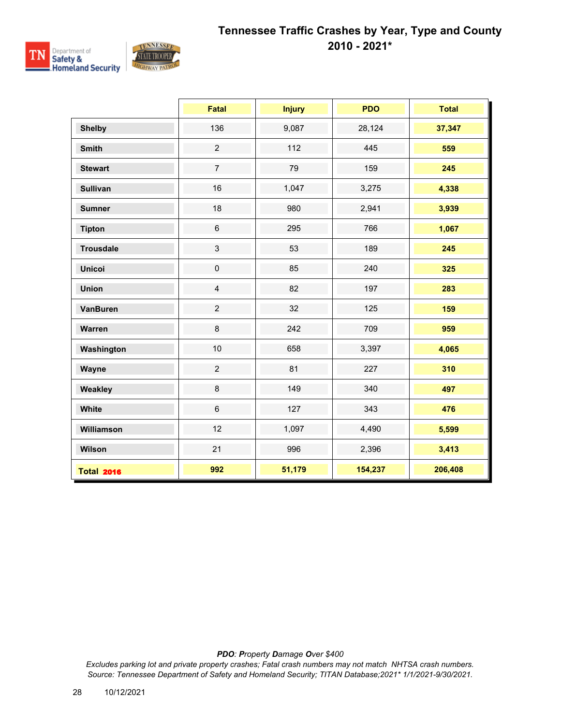

|                   | <b>Fatal</b>   | <b>Injury</b> | <b>PDO</b> | <b>Total</b> |
|-------------------|----------------|---------------|------------|--------------|
| <b>Shelby</b>     | 136            | 9,087         | 28,124     | 37,347       |
| <b>Smith</b>      | $\overline{2}$ | 112           | 445        | 559          |
| <b>Stewart</b>    | $\overline{7}$ | 79            | 159        | 245          |
| <b>Sullivan</b>   | 16             | 1,047         | 3,275      | 4,338        |
| <b>Sumner</b>     | 18             | 980           | 2,941      | 3,939        |
| <b>Tipton</b>     | $\,6$          | 295           | 766        | 1,067        |
| <b>Trousdale</b>  | $\mathbf{3}$   | 53            | 189        | 245          |
| <b>Unicoi</b>     | $\pmb{0}$      | 85            | 240        | 325          |
| <b>Union</b>      | $\overline{4}$ | 82            | 197        | 283          |
| <b>VanBuren</b>   | $\overline{2}$ | 32            | 125        | 159          |
| Warren            | 8              | 242           | 709        | 959          |
| Washington        | 10             | 658           | 3,397      | 4,065        |
| Wayne             | $\overline{2}$ | 81            | 227        | 310          |
| Weakley           | $\bf 8$        | 149           | 340        | 497          |
| White             | $6\phantom{1}$ | 127           | 343        | 476          |
| Williamson        | 12             | 1,097         | 4,490      | 5,599        |
| Wilson            | 21             | 996           | 2,396      | 3,413        |
| <b>Total 2016</b> | 992            | 51,179        | 154,237    | 206,408      |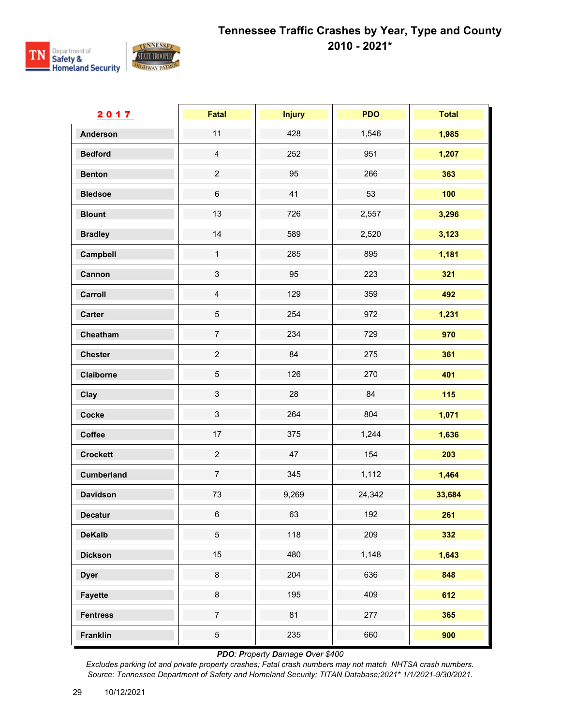

| 2017              | Fatal                     | <b>Injury</b> | <b>PDO</b> | <b>Total</b> |
|-------------------|---------------------------|---------------|------------|--------------|
| <b>Anderson</b>   | 11                        | 428           | 1,546      | 1,985        |
| <b>Bedford</b>    | $\overline{4}$            | 252           | 951        | 1,207        |
| <b>Benton</b>     | $\overline{c}$            | 95            | 266        | 363          |
| <b>Bledsoe</b>    | $\,6$                     | 41            | 53         | 100          |
| <b>Blount</b>     | 13                        | 726           | 2,557      | 3,296        |
| <b>Bradley</b>    | 14                        | 589           | 2,520      | 3,123        |
| Campbell          | $\mathbf{1}$              | 285           | 895        | 1,181        |
| Cannon            | $\ensuremath{\mathsf{3}}$ | 95            | 223        | 321          |
| Carroll           | $\overline{4}$            | 129           | 359        | 492          |
| <b>Carter</b>     | $\,$ 5 $\,$               | 254           | 972        | 1,231        |
| Cheatham          | $\overline{7}$            | 234           | 729        | 970          |
| <b>Chester</b>    | $\overline{c}$            | 84            | 275        | 361          |
| Claiborne         | $\sqrt{5}$                | 126           | 270        | 401          |
| Clay              | $\mathbf{3}$              | 28            | 84         | 115          |
| Cocke             | $\sqrt{3}$                | 264           | 804        | 1,071        |
| Coffee            | 17                        | 375           | 1,244      | 1,636        |
| <b>Crockett</b>   | $\overline{c}$            | 47            | 154        | 203          |
| <b>Cumberland</b> | $\overline{7}$            | 345           | 1,112      | 1,464        |
| <b>Davidson</b>   | 73                        | 9,269         | 24,342     | 33,684       |
| <b>Decatur</b>    | $\,6\,$                   | 63            | 192        | 261          |
| <b>DeKalb</b>     | $\overline{5}$            | 118           | 209        | 332          |
| <b>Dickson</b>    | 15                        | 480           | 1,148      | 1,643        |
| <b>Dyer</b>       | 8                         | 204           | 636        | 848          |
| <b>Fayette</b>    | $\bf 8$                   | 195           | 409        | 612          |
| <b>Fentress</b>   | $\boldsymbol{7}$          | 81            | 277        | 365          |
| <b>Franklin</b>   | $\,$ 5 $\,$               | 235           | 660        | 900          |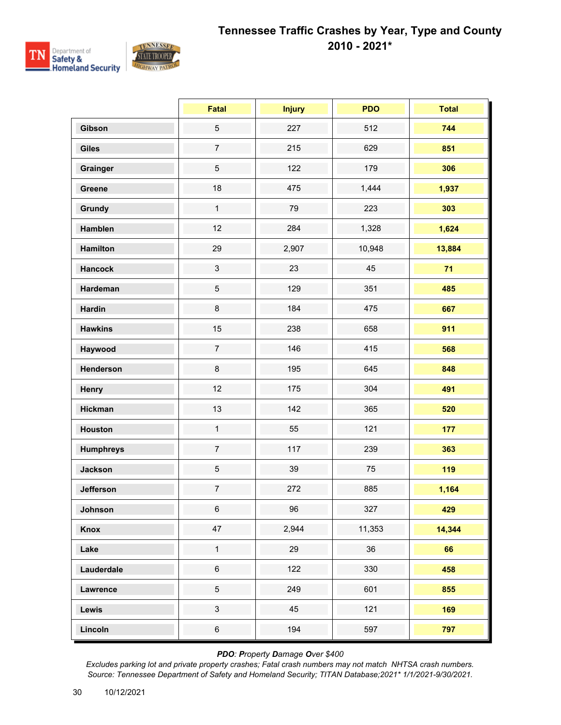

|                  | <b>Fatal</b>     | <b>Injury</b> | <b>PDO</b> | <b>Total</b> |
|------------------|------------------|---------------|------------|--------------|
| Gibson           | $\sqrt{5}$       | 227           | 512        | 744          |
| <b>Giles</b>     | $\overline{7}$   | 215           | 629        | 851          |
| Grainger         | $\overline{5}$   | 122           | 179        | 306          |
| Greene           | 18               | 475           | 1,444      | 1,937        |
| <b>Grundy</b>    | $\mathbf{1}$     | 79            | 223        | 303          |
| Hamblen          | 12               | 284           | 1,328      | 1,624        |
| <b>Hamilton</b>  | 29               | 2,907         | 10,948     | 13,884       |
| <b>Hancock</b>   | $\mathfrak{S}$   | 23            | 45         | 71           |
| Hardeman         | $\sqrt{5}$       | 129           | 351        | 485          |
| <b>Hardin</b>    | $\bf 8$          | 184           | 475        | 667          |
| <b>Hawkins</b>   | 15               | 238           | 658        | 911          |
| Haywood          | $\overline{7}$   | 146           | 415        | 568          |
| Henderson        | $\bf 8$          | 195           | 645        | 848          |
| Henry            | 12               | 175           | 304        | 491          |
| <b>Hickman</b>   | 13               | 142           | 365        | 520          |
| <b>Houston</b>   | $\mathbf{1}$     | 55            | 121        | 177          |
| <b>Humphreys</b> | $\overline{7}$   | 117           | 239        | 363          |
| <b>Jackson</b>   | $\sqrt{5}$       | 39            | 75         | 119          |
| <b>Jefferson</b> | $\boldsymbol{7}$ | 272           | 885        | 1,164        |
| Johnson          | $6\overline{6}$  | 96            | 327        | 429          |
| Knox             | 47               | 2,944         | 11,353     | 14,344       |
| Lake             | $\mathbf{1}$     | 29            | 36         | 66           |
| Lauderdale       | $\,6\,$          | 122           | 330        | 458          |
| Lawrence         | $\sqrt{5}$       | 249           | 601        | 855          |
| Lewis            | $\mathbf{3}$     | 45            | 121        | 169          |
| Lincoln          | $\,6\,$          | 194           | 597        | 797          |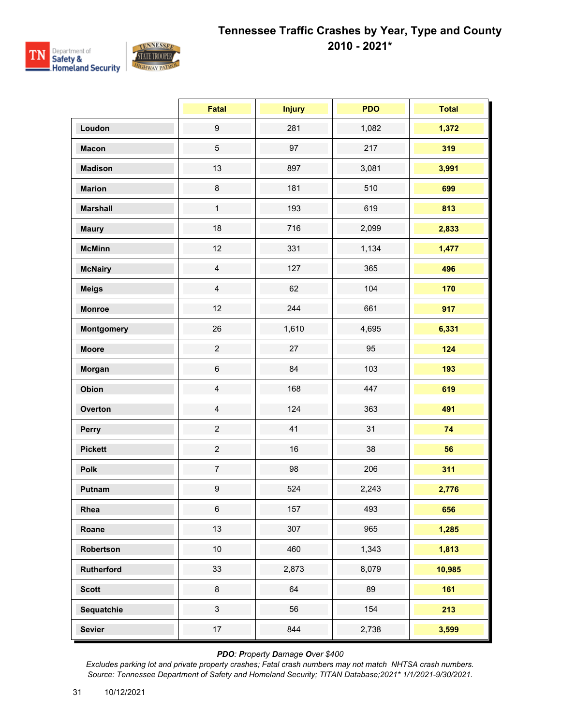

|                   | Fatal            | <b>Injury</b> | <b>PDO</b> | <b>Total</b> |
|-------------------|------------------|---------------|------------|--------------|
| Loudon            | $\boldsymbol{9}$ | 281           | 1,082      | 1,372        |
| <b>Macon</b>      | $\sqrt{5}$       | 97            | 217        | 319          |
| <b>Madison</b>    | 13               | 897           | 3,081      | 3,991        |
| <b>Marion</b>     | $\bf 8$          | 181           | 510        | 699          |
| <b>Marshall</b>   | $\mathbf{1}$     | 193           | 619        | 813          |
| <b>Maury</b>      | 18               | 716           | 2,099      | 2,833        |
| <b>McMinn</b>     | 12               | 331           | 1,134      | 1,477        |
| <b>McNairy</b>    | $\overline{4}$   | 127           | 365        | 496          |
| <b>Meigs</b>      | $\overline{4}$   | 62            | 104        | 170          |
| <b>Monroe</b>     | 12               | 244           | 661        | 917          |
| <b>Montgomery</b> | 26               | 1,610         | 4,695      | 6,331        |
| <b>Moore</b>      | $\overline{2}$   | 27            | 95         | 124          |
| Morgan            | $\,6\,$          | 84            | 103        | 193          |
| Obion             | $\overline{4}$   | 168           | 447        | 619          |
| Overton           | $\overline{4}$   | 124           | 363        | 491          |
| Perry             | $\overline{2}$   | 41            | 31         | 74           |
| <b>Pickett</b>    | $\overline{c}$   | 16            | 38         | 56           |
| Polk              | $\boldsymbol{7}$ | 98            | 206        | 311          |
| Putnam            | $\boldsymbol{9}$ | 524           | 2,243      | 2,776        |
| Rhea              | 6                | 157           | 493        | 656          |
| Roane             | 13               | 307           | 965        | 1,285        |
| Robertson         | 10               | 460           | 1,343      | 1,813        |
| <b>Rutherford</b> | 33               | 2,873         | 8,079      | 10,985       |
| <b>Scott</b>      | $\bf 8$          | 64            | 89         | 161          |
| Sequatchie        | $\mathbf{3}$     | 56            | 154        | 213          |
| <b>Sevier</b>     | 17               | 844           | 2,738      | 3,599        |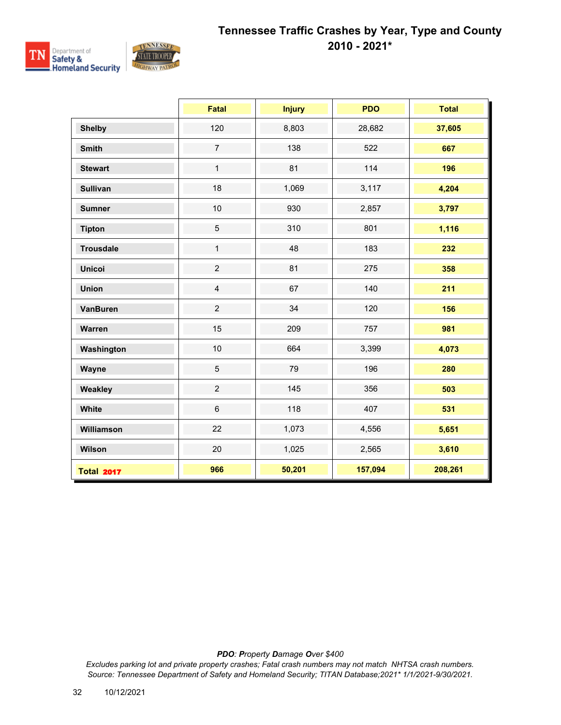

|                   | <b>Fatal</b>    | <b>Injury</b> | <b>PDO</b> | <b>Total</b> |
|-------------------|-----------------|---------------|------------|--------------|
| <b>Shelby</b>     | 120             | 8,803         | 28,682     | 37,605       |
| <b>Smith</b>      | $\overline{7}$  | 138           | 522        | 667          |
| <b>Stewart</b>    | $\mathbf{1}$    | 81            | 114        | 196          |
| <b>Sullivan</b>   | 18              | 1,069         | 3,117      | 4,204        |
| <b>Sumner</b>     | 10              | 930           | 2,857      | 3,797        |
| <b>Tipton</b>     | $5\phantom{.0}$ | 310           | 801        | 1,116        |
| <b>Trousdale</b>  | $\mathbf{1}$    | 48            | 183        | 232          |
| <b>Unicoi</b>     | $\overline{2}$  | 81            | 275        | 358          |
| <b>Union</b>      | $\overline{4}$  | 67            | 140        | 211          |
| <b>VanBuren</b>   | $\overline{2}$  | 34            | 120        | 156          |
| Warren            | 15              | 209           | 757        | 981          |
| Washington        | 10              | 664           | 3,399      | 4,073        |
| Wayne             | $\overline{5}$  | 79            | 196        | 280          |
| Weakley           | $\overline{2}$  | 145           | 356        | 503          |
| White             | $6\phantom{1}$  | 118           | 407        | 531          |
| Williamson        | 22              | 1,073         | 4,556      | 5,651        |
| Wilson            | 20              | 1,025         | 2,565      | 3,610        |
| <b>Total 2017</b> | 966             | 50,201        | 157,094    | 208,261      |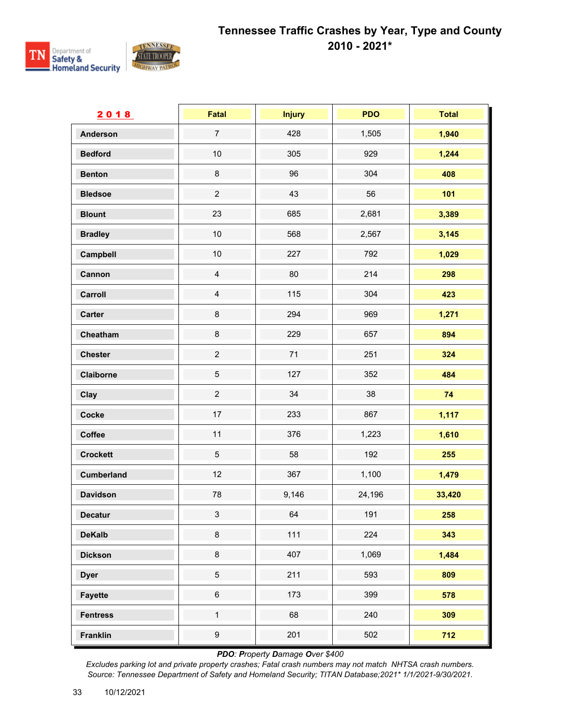

| 2018              | Fatal            | <b>Injury</b> | <b>PDO</b> | <b>Total</b> |
|-------------------|------------------|---------------|------------|--------------|
| <b>Anderson</b>   | $\overline{7}$   | 428           | 1,505      | 1,940        |
| <b>Bedford</b>    | $10$             | 305           | 929        | 1,244        |
| <b>Benton</b>     | $\bf 8$          | 96            | 304        | 408          |
| <b>Bledsoe</b>    | $\overline{2}$   | 43            | 56         | 101          |
| <b>Blount</b>     | 23               | 685           | 2,681      | 3,389        |
| <b>Bradley</b>    | $10$             | 568           | 2,567      | 3,145        |
| Campbell          | $10$             | 227           | 792        | 1,029        |
| Cannon            | $\overline{4}$   | 80            | 214        | 298          |
| Carroll           | $\overline{4}$   | 115           | 304        | 423          |
| <b>Carter</b>     | $\bf 8$          | 294           | 969        | 1,271        |
| Cheatham          | $\bf 8$          | 229           | 657        | 894          |
| <b>Chester</b>    | $\mathbf 2$      | 71            | 251        | 324          |
| Claiborne         | $\sqrt{5}$       | 127           | 352        | 484          |
| Clay              | $\overline{c}$   | 34            | 38         | 74           |
| Cocke             | $17\,$           | 233           | 867        | 1,117        |
| Coffee            | 11               | 376           | 1,223      | 1,610        |
| <b>Crockett</b>   | $\overline{5}$   | 58            | 192        | 255          |
| <b>Cumberland</b> | 12               | 367           | 1,100      | 1,479        |
| <b>Davidson</b>   | 78               | 9,146         | 24,196     | 33,420       |
| <b>Decatur</b>    | $\mathbf{3}$     | 64            | 191        | 258          |
| <b>DeKalb</b>     | $\bf 8$          | 111           | 224        | 343          |
| <b>Dickson</b>    | $\bf 8$          | 407           | 1,069      | 1,484        |
| <b>Dyer</b>       | $\overline{5}$   | 211           | 593        | 809          |
| <b>Fayette</b>    | $\,6\,$          | 173           | 399        | 578          |
| <b>Fentress</b>   | $\mathbf{1}$     | 68            | 240        | 309          |
| <b>Franklin</b>   | $\boldsymbol{9}$ | 201           | 502        | 712          |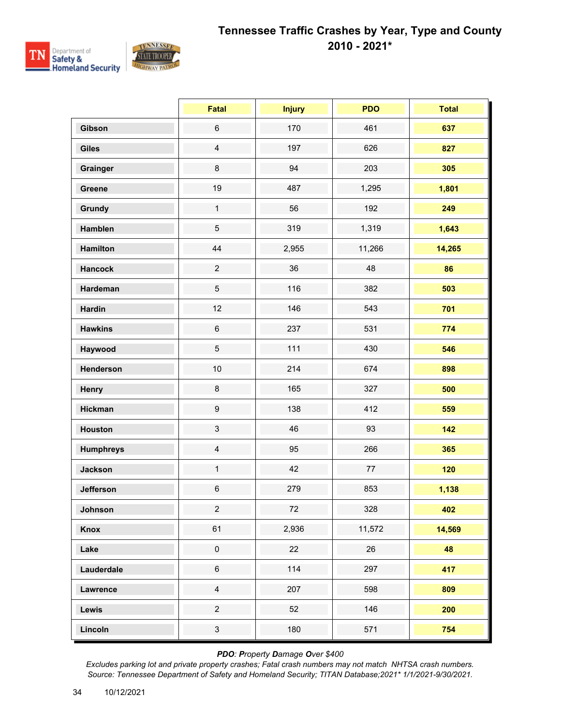

|                  | <b>Fatal</b>     | <b>Injury</b> | <b>PDO</b> | <b>Total</b> |
|------------------|------------------|---------------|------------|--------------|
| Gibson           | $\,6\,$          | 170           | 461        | 637          |
| <b>Giles</b>     | $\overline{4}$   | 197           | 626        | 827          |
| Grainger         | $\bf 8$          | 94            | 203        | 305          |
| Greene           | 19               | 487           | 1,295      | 1,801        |
| Grundy           | $\mathbf{1}$     | 56            | 192        | 249          |
| Hamblen          | 5                | 319           | 1,319      | 1,643        |
| <b>Hamilton</b>  | 44               | 2,955         | 11,266     | 14,265       |
| <b>Hancock</b>   | $\overline{c}$   | 36            | 48         | 86           |
| Hardeman         | 5                | 116           | 382        | 503          |
| <b>Hardin</b>    | 12               | 146           | 543        | 701          |
| <b>Hawkins</b>   | $\,6\,$          | 237           | 531        | 774          |
| Haywood          | 5                | 111           | 430        | 546          |
| Henderson        | 10               | 214           | 674        | 898          |
| Henry            | $\bf 8$          | 165           | 327        | 500          |
| <b>Hickman</b>   | $\boldsymbol{9}$ | 138           | 412        | 559          |
| <b>Houston</b>   | 3                | 46            | 93         | 142          |
| <b>Humphreys</b> | $\overline{4}$   | 95            | 266        | 365          |
| <b>Jackson</b>   | $\mathbf{1}$     | 42            | $77\,$     | 120          |
| <b>Jefferson</b> | $\,6\,$          | 279           | 853        | 1,138        |
| Johnson          | $\overline{2}$   | 72            | 328        | 402          |
| Knox             | 61               | 2,936         | 11,572     | 14,569       |
| Lake             | $\pmb{0}$        | 22            | 26         | 48           |
| Lauderdale       | $\,6$            | 114           | 297        | 417          |
| Lawrence         | $\overline{4}$   | 207           | 598        | 809          |
| Lewis            | $\overline{a}$   | 52            | 146        | 200          |
| Lincoln          | $\mathbf{3}$     | 180           | 571        | 754          |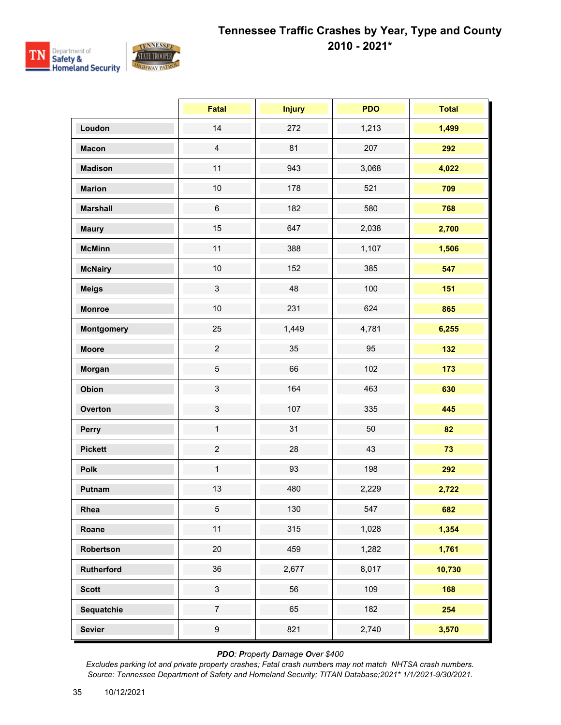

|                   | <b>Fatal</b>     | <b>Injury</b> | <b>PDO</b> | <b>Total</b> |
|-------------------|------------------|---------------|------------|--------------|
| Loudon            | 14               | 272           | 1,213      | 1,499        |
| <b>Macon</b>      | $\overline{4}$   | 81            | 207        | 292          |
| <b>Madison</b>    | 11               | 943           | 3,068      | 4,022        |
| <b>Marion</b>     | $10$             | 178           | 521        | 709          |
| <b>Marshall</b>   | $\,6\,$          | 182           | 580        | 768          |
| <b>Maury</b>      | 15               | 647           | 2,038      | 2,700        |
| <b>McMinn</b>     | 11               | 388           | 1,107      | 1,506        |
| <b>McNairy</b>    | $10$             | 152           | 385        | 547          |
| <b>Meigs</b>      | $\mathfrak{S}$   | 48            | 100        | 151          |
| <b>Monroe</b>     | $10$             | 231           | 624        | 865          |
| <b>Montgomery</b> | 25               | 1,449         | 4,781      | 6,255        |
| <b>Moore</b>      | $\overline{2}$   | 35            | 95         | 132          |
| Morgan            | 5                | 66            | 102        | 173          |
| Obion             | $\mathbf{3}$     | 164           | 463        | 630          |
| Overton           | $\mathsf 3$      | 107           | 335        | 445          |
| Perry             | $\mathbf{1}$     | 31            | 50         | 82           |
| <b>Pickett</b>    | $\overline{2}$   | 28            | 43         | 73           |
| <b>Polk</b>       | $\mathbf{1}$     | 93            | 198        | 292          |
| Putnam            | 13               | 480           | 2,229      | 2,722        |
| Rhea              | $5\phantom{.0}$  | 130           | 547        | 682          |
| Roane             | 11               | 315           | 1,028      | 1,354        |
| Robertson         | $20\,$           | 459           | 1,282      | 1,761        |
| Rutherford        | 36               | 2,677         | 8,017      | 10,730       |
| <b>Scott</b>      | $\mathbf{3}$     | 56            | 109        | 168          |
| Sequatchie        | $\overline{7}$   | 65            | 182        | 254          |
| <b>Sevier</b>     | $\boldsymbol{9}$ | 821           | 2,740      | 3,570        |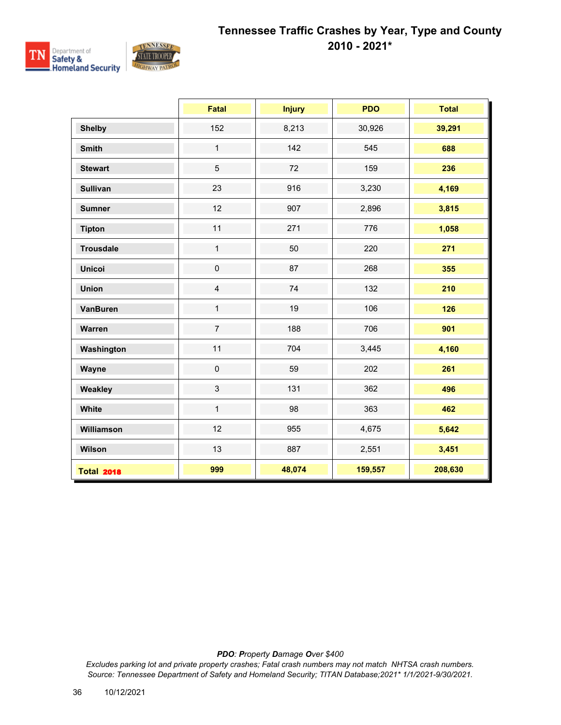

|                   | <b>Fatal</b>   | <b>Injury</b> | <b>PDO</b> | <b>Total</b> |
|-------------------|----------------|---------------|------------|--------------|
| <b>Shelby</b>     | 152            | 8,213         | 30,926     | 39,291       |
| <b>Smith</b>      | $\mathbf{1}$   | 142           | 545        | 688          |
| <b>Stewart</b>    | 5              | 72            | 159        | 236          |
| <b>Sullivan</b>   | 23             | 916           | 3,230      | 4,169        |
| <b>Sumner</b>     | 12             | 907           | 2,896      | 3,815        |
| <b>Tipton</b>     | 11             | 271           | 776        | 1,058        |
| <b>Trousdale</b>  | $\mathbf{1}$   | 50            | 220        | 271          |
| <b>Unicoi</b>     | $\pmb{0}$      | 87            | 268        | 355          |
| <b>Union</b>      | $\overline{4}$ | 74            | 132        | 210          |
| <b>VanBuren</b>   | $\mathbf{1}$   | 19            | 106        | 126          |
| Warren            | $\overline{7}$ | 188           | 706        | 901          |
| Washington        | 11             | 704           | 3,445      | 4,160        |
| Wayne             | $\pmb{0}$      | 59            | 202        | 261          |
| Weakley           | $\mathfrak{S}$ | 131           | 362        | 496          |
| White             | $\mathbf{1}$   | 98            | 363        | 462          |
| Williamson        | 12             | 955           | 4,675      | 5,642        |
| Wilson            | 13             | 887           | 2,551      | 3,451        |
| <b>Total 2018</b> | 999            | 48,074        | 159,557    | 208,630      |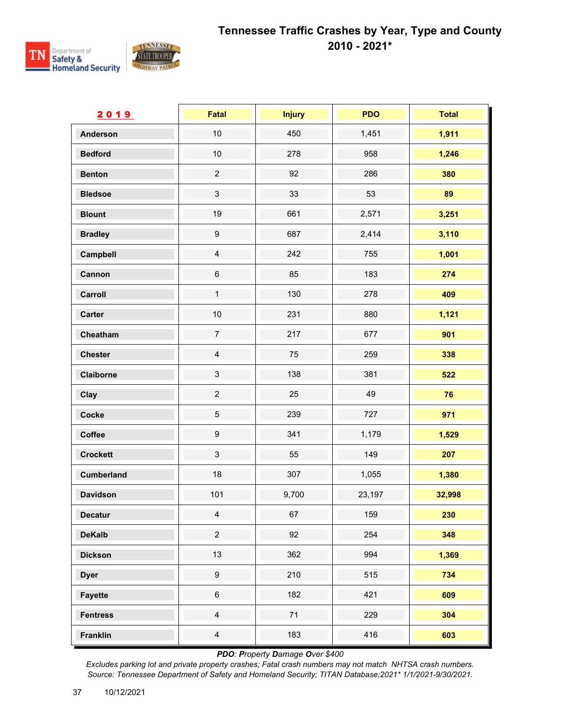

| 2019              | Fatal                     | <b>Injury</b> | <b>PDO</b> | <b>Total</b> |
|-------------------|---------------------------|---------------|------------|--------------|
| <b>Anderson</b>   | $10$                      | 450           | 1,451      | 1,911        |
| <b>Bedford</b>    | $10$                      | 278           | 958        | 1,246        |
| <b>Benton</b>     | $\overline{2}$            | 92            | 286        | 380          |
| <b>Bledsoe</b>    | $\ensuremath{\mathsf{3}}$ | 33            | 53         | 89           |
| <b>Blount</b>     | 19                        | 661           | 2,571      | 3,251        |
| <b>Bradley</b>    | $\boldsymbol{9}$          | 687           | 2,414      | 3,110        |
| Campbell          | $\overline{4}$            | 242           | 755        | 1,001        |
| Cannon            | $\,6$                     | 85            | 183        | 274          |
| Carroll           | $\mathbf 1$               | 130           | 278        | 409          |
| <b>Carter</b>     | 10                        | 231           | 880        | 1,121        |
| Cheatham          | $\overline{7}$            | 217           | 677        | 901          |
| <b>Chester</b>    | $\overline{4}$            | 75            | 259        | 338          |
| Claiborne         | $\ensuremath{\mathsf{3}}$ | 138           | 381        | 522          |
| Clay              | $\overline{c}$            | 25            | 49         | 76           |
| Cocke             | $\mathbf 5$               | 239           | 727        | 971          |
| Coffee            | $\boldsymbol{9}$          | 341           | 1,179      | 1,529        |
| <b>Crockett</b>   | $\mathfrak{S}$            | 55            | 149        | 207          |
| <b>Cumberland</b> | 18                        | 307           | 1,055      | 1,380        |
| <b>Davidson</b>   | 101                       | 9,700         | 23,197     | 32,998       |
| <b>Decatur</b>    | $\overline{4}$            | 67            | 159        | 230          |
| <b>DeKalb</b>     | $\overline{c}$            | 92            | 254        | 348          |
| <b>Dickson</b>    | 13                        | 362           | 994        | 1,369        |
| <b>Dyer</b>       | $\boldsymbol{9}$          | 210           | 515        | 734          |
| <b>Fayette</b>    | $\,6\,$                   | 182           | 421        | 609          |
| <b>Fentress</b>   | $\overline{4}$            | $71$          | 229        | 304          |
| Franklin          | $\overline{4}$            | 183           | 416        | 603          |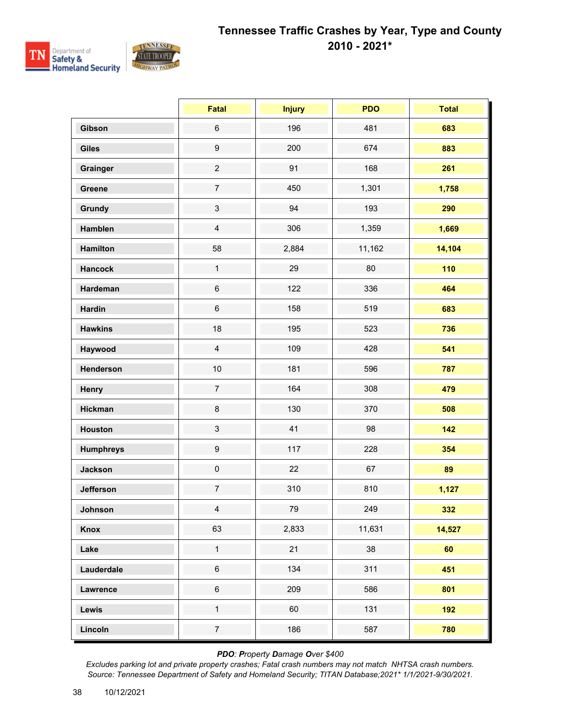

|                  | Fatal            | <b>Injury</b> | <b>PDO</b> | <b>Total</b> |
|------------------|------------------|---------------|------------|--------------|
| Gibson           | $\,6\,$          | 196           | 481        | 683          |
| <b>Giles</b>     | $\boldsymbol{9}$ | 200           | 674        | 883          |
| Grainger         | $\overline{c}$   | 91            | 168        | 261          |
| Greene           | $\overline{7}$   | 450           | 1,301      | 1,758        |
| <b>Grundy</b>    | $\sqrt{3}$       | 94            | 193        | 290          |
| Hamblen          | $\overline{4}$   | 306           | 1,359      | 1,669        |
| <b>Hamilton</b>  | 58               | 2,884         | 11,162     | 14,104       |
| <b>Hancock</b>   | $\mathbf{1}$     | 29            | 80         | 110          |
| Hardeman         | $\,6\,$          | 122           | 336        | 464          |
| <b>Hardin</b>    | $\,6\,$          | 158           | 519        | 683          |
| <b>Hawkins</b>   | 18               | 195           | 523        | 736          |
| Haywood          | $\overline{4}$   | 109           | 428        | 541          |
| Henderson        | 10               | 181           | 596        | 787          |
| Henry            | $\overline{7}$   | 164           | 308        | 479          |
| <b>Hickman</b>   | $\bf 8$          | 130           | 370        | 508          |
| <b>Houston</b>   | $\mathfrak{S}$   | 41            | 98         | 142          |
| <b>Humphreys</b> | $\boldsymbol{9}$ | 117           | 228        | 354          |
| <b>Jackson</b>   | $\pmb{0}$        | 22            | 67         | 89           |
| <b>Jefferson</b> | $\overline{7}$   | 310           | 810        | 1,127        |
| Johnson          | $\overline{4}$   | 79            | 249        | 332          |
| <b>Knox</b>      | 63               | 2,833         | 11,631     | 14,527       |
| Lake             | $\mathbf 1$      | 21            | 38         | 60           |
| Lauderdale       | $\,6$            | 134           | 311        | 451          |
| <b>Lawrence</b>  | $\,6\,$          | 209           | 586        | 801          |
| Lewis            | $\mathbf 1$      | 60            | 131        | 192          |
| Lincoln          | $\overline{7}$   | 186           | 587        | 780          |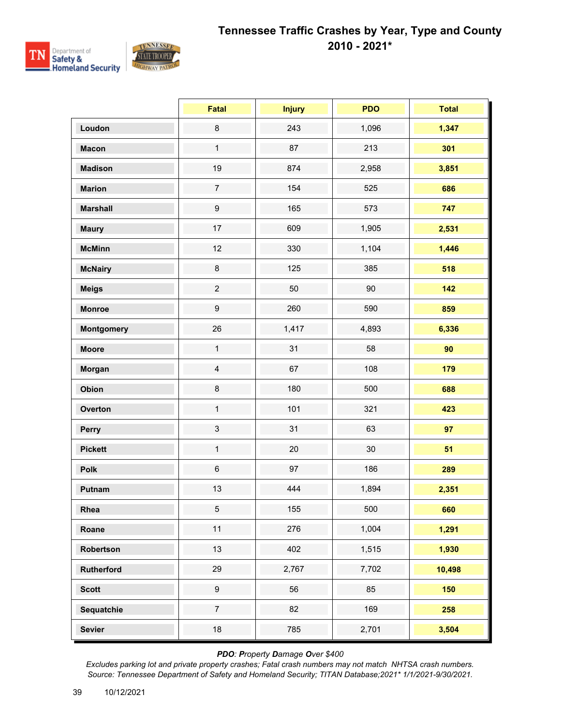

|                   | <b>Fatal</b>     | <b>Injury</b> | <b>PDO</b> | <b>Total</b> |
|-------------------|------------------|---------------|------------|--------------|
| Loudon            | $\bf 8$          | 243           | 1,096      | 1,347        |
| <b>Macon</b>      | $\mathbf{1}$     | 87            | 213        | 301          |
| <b>Madison</b>    | 19               | 874           | 2,958      | 3,851        |
| <b>Marion</b>     | $\overline{7}$   | 154           | 525        | 686          |
| <b>Marshall</b>   | $\boldsymbol{9}$ | 165           | 573        | 747          |
| <b>Maury</b>      | 17               | 609           | 1,905      | 2,531        |
| <b>McMinn</b>     | 12               | 330           | 1,104      | 1,446        |
| <b>McNairy</b>    | $\bf 8$          | 125           | 385        | 518          |
| <b>Meigs</b>      | $\overline{c}$   | 50            | $90\,$     | 142          |
| <b>Monroe</b>     | $\boldsymbol{9}$ | 260           | 590        | 859          |
| <b>Montgomery</b> | 26               | 1,417         | 4,893      | 6,336        |
| <b>Moore</b>      | $\mathbf{1}$     | 31            | 58         | 90           |
| Morgan            | $\overline{4}$   | 67            | 108        | 179          |
| Obion             | $\bf 8$          | 180           | 500        | 688          |
| Overton           | $\mathbf{1}$     | 101           | 321        | 423          |
| Perry             | $\mathfrak{S}$   | 31            | 63         | 97           |
| <b>Pickett</b>    | $\mathbf{1}$     | 20            | 30         | 51           |
| Polk              | $\,6\,$          | 97            | 186        | 289          |
| Putnam            | 13               | 444           | 1,894      | 2,351        |
| Rhea              | $5\phantom{.0}$  | 155           | 500        | 660          |
| Roane             | 11               | 276           | 1,004      | 1,291        |
| Robertson         | 13               | 402           | 1,515      | 1,930        |
| Rutherford        | 29               | 2,767         | 7,702      | 10,498       |
| <b>Scott</b>      | $\boldsymbol{9}$ | 56            | 85         | 150          |
| Sequatchie        | $\overline{7}$   | 82            | 169        | 258          |
| <b>Sevier</b>     | $18\,$           | 785           | 2,701      | 3,504        |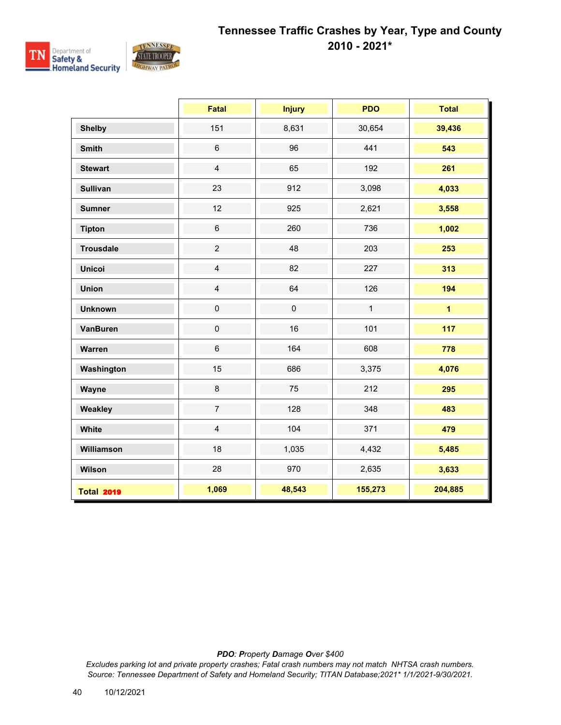

|                   | <b>Fatal</b>            | <b>Injury</b> | <b>PDO</b>   | <b>Total</b>   |
|-------------------|-------------------------|---------------|--------------|----------------|
| <b>Shelby</b>     | 151                     | 8,631         | 30,654       | 39,436         |
| <b>Smith</b>      | $\,6$                   | 96            | 441          | 543            |
| <b>Stewart</b>    | $\overline{\mathbf{4}}$ | 65            | 192          | 261            |
| <b>Sullivan</b>   | 23                      | 912           | 3,098        | 4,033          |
| <b>Sumner</b>     | 12                      | 925           | 2,621        | 3,558          |
| <b>Tipton</b>     | $\,6\,$                 | 260           | 736          | 1,002          |
| <b>Trousdale</b>  | $\overline{2}$          | 48            | 203          | 253            |
| <b>Unicoi</b>     | $\overline{4}$          | 82            | 227          | 313            |
| <b>Union</b>      | $\overline{4}$          | 64            | 126          | 194            |
| <b>Unknown</b>    | $\mathbf 0$             | $\mathbf 0$   | $\mathbf{1}$ | $\overline{1}$ |
| <b>VanBuren</b>   | $\mathbf 0$             | 16            | 101          | 117            |
| Warren            | $6\phantom{a}$          | 164           | 608          | 778            |
| Washington        | 15                      | 686           | 3,375        | 4,076          |
| Wayne             | 8                       | 75            | 212          | 295            |
| Weakley           | $\overline{7}$          | 128           | 348          | 483            |
| White             | $\overline{4}$          | 104           | 371          | 479            |
| Williamson        | 18                      | 1,035         | 4,432        | 5,485          |
| Wilson            | 28                      | 970           | 2,635        | 3,633          |
| <b>Total 2019</b> | 1,069                   | 48,543        | 155,273      | 204,885        |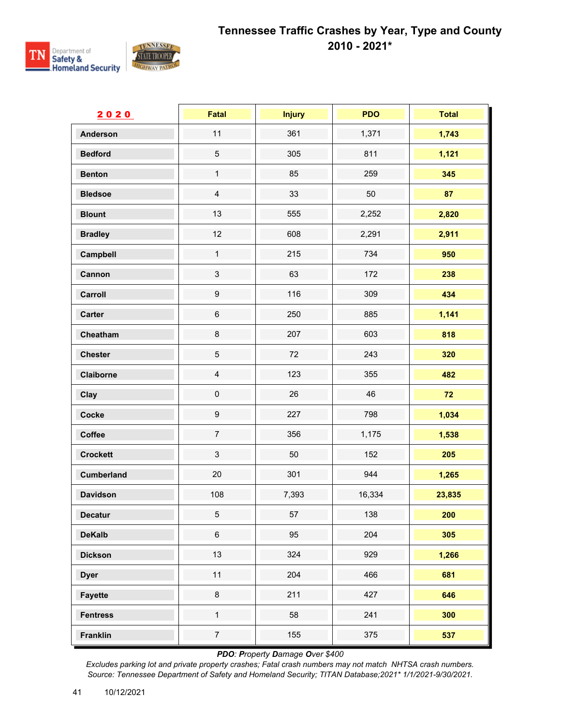

| 2020              | Fatal                     | <b>Injury</b> | <b>PDO</b> | <b>Total</b> |
|-------------------|---------------------------|---------------|------------|--------------|
| <b>Anderson</b>   | 11                        | 361           | 1,371      | 1,743        |
| <b>Bedford</b>    | $\mathbf 5$               | 305           | 811        | 1,121        |
| <b>Benton</b>     | $\mathbf{1}$              | 85            | 259        | 345          |
| <b>Bledsoe</b>    | $\overline{4}$            | 33            | 50         | 87           |
| <b>Blount</b>     | 13                        | 555           | 2,252      | 2,820        |
| <b>Bradley</b>    | 12                        | 608           | 2,291      | 2,911        |
| Campbell          | $\mathbf{1}$              | 215           | 734        | 950          |
| Cannon            | $\ensuremath{\mathsf{3}}$ | 63            | 172        | 238          |
| Carroll           | $\boldsymbol{9}$          | 116           | 309        | 434          |
| Carter            | $\,6\,$                   | 250           | 885        | 1,141        |
| Cheatham          | $\bf 8$                   | 207           | 603        | 818          |
| <b>Chester</b>    | $\mathbf 5$               | 72            | 243        | 320          |
| Claiborne         | $\overline{\mathbf{4}}$   | 123           | 355        | 482          |
| Clay              | $\mathsf 0$               | 26            | 46         | 72           |
| Cocke             | $\boldsymbol{9}$          | 227           | 798        | 1,034        |
| Coffee            | $\boldsymbol{7}$          | 356           | 1,175      | 1,538        |
| <b>Crockett</b>   | $\mathbf{3}$              | 50            | 152        | 205          |
| <b>Cumberland</b> | 20                        | 301           | 944        | 1,265        |
| <b>Davidson</b>   | 108                       | 7,393         | 16,334     | 23,835       |
| <b>Decatur</b>    | 5                         | 57            | 138        | 200          |
| <b>DeKalb</b>     | $\,6$                     | 95            | 204        | 305          |
| <b>Dickson</b>    | 13                        | 324           | 929        | 1,266        |
| <b>Dyer</b>       | 11                        | 204           | 466        | 681          |
| <b>Fayette</b>    | $\bf 8$                   | 211           | 427        | 646          |
| <b>Fentress</b>   | $\mathbf{1}$              | 58            | 241        | 300          |
| <b>Franklin</b>   | $\overline{7}$            | 155           | 375        | 537          |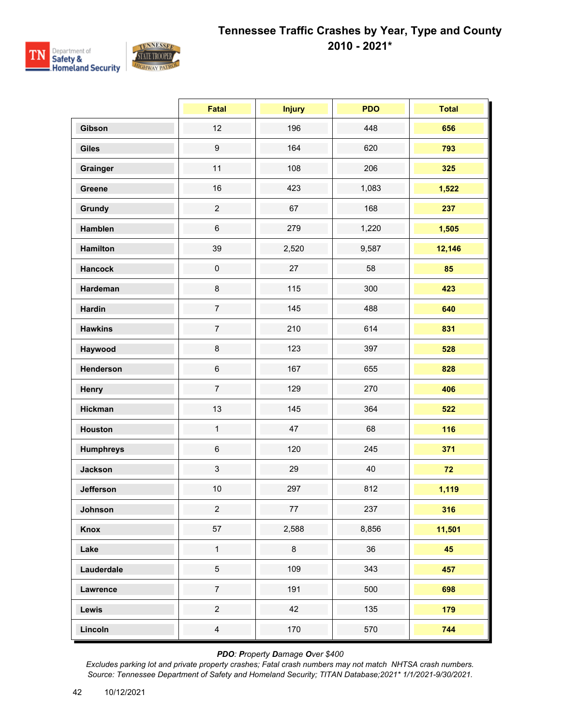

|                  | <b>Fatal</b>     | <b>Injury</b> | <b>PDO</b> | <b>Total</b> |
|------------------|------------------|---------------|------------|--------------|
| Gibson           | 12               | 196           | 448        | 656          |
| Giles            | $\boldsymbol{9}$ | 164           | 620        | 793          |
| Grainger         | 11               | 108           | 206        | 325          |
| Greene           | 16               | 423           | 1,083      | 1,522        |
| Grundy           | $\overline{c}$   | 67            | 168        | 237          |
| Hamblen          | $\,6\,$          | 279           | 1,220      | 1,505        |
| <b>Hamilton</b>  | 39               | 2,520         | 9,587      | 12,146       |
| <b>Hancock</b>   | $\mathbf 0$      | 27            | 58         | 85           |
| Hardeman         | $\bf 8$          | 115           | 300        | 423          |
| <b>Hardin</b>    | $\overline{7}$   | 145           | 488        | 640          |
| <b>Hawkins</b>   | $\overline{7}$   | 210           | 614        | 831          |
| Haywood          | $\bf 8$          | 123           | 397        | 528          |
| Henderson        | $\,6\,$          | 167           | 655        | 828          |
| Henry            | $\overline{7}$   | 129           | 270        | 406          |
| <b>Hickman</b>   | 13               | 145           | 364        | 522          |
| <b>Houston</b>   | $\mathbf{1}$     | 47            | 68         | 116          |
| <b>Humphreys</b> | $\,6\,$          | 120           | 245        | 371          |
| <b>Jackson</b>   | $\mathfrak{S}$   | 29            | 40         | 72           |
| <b>Jefferson</b> | $10$             | 297           | 812        | 1,119        |
| Johnson          | $\overline{2}$   | 77            | 237        | 316          |
| Knox             | 57               | 2,588         | 8,856      | 11,501       |
| Lake             | $\mathbf 1$      | $\bf 8$       | 36         | 45           |
| Lauderdale       | $\overline{5}$   | 109           | 343        | 457          |
| Lawrence         | $\overline{7}$   | 191           | 500        | 698          |
| Lewis            | $\overline{2}$   | 42            | 135        | 179          |
| Lincoln          | $\overline{4}$   | 170           | 570        | 744          |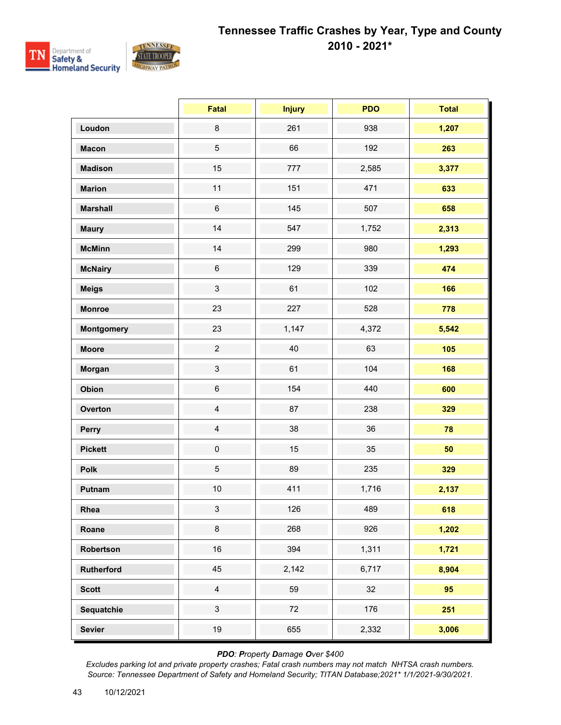

|                   | <b>Fatal</b>   | <b>Injury</b> | <b>PDO</b> | <b>Total</b> |
|-------------------|----------------|---------------|------------|--------------|
| Loudon            | $\bf 8$        | 261           | 938        | 1,207        |
| <b>Macon</b>      | 5              | 66            | 192        | 263          |
| <b>Madison</b>    | 15             | 777           | 2,585      | 3,377        |
| <b>Marion</b>     | 11             | 151           | 471        | 633          |
| <b>Marshall</b>   | $\,6$          | 145           | 507        | 658          |
| <b>Maury</b>      | 14             | 547           | 1,752      | 2,313        |
| <b>McMinn</b>     | 14             | 299           | 980        | 1,293        |
| <b>McNairy</b>    | $\,6\,$        | 129           | 339        | 474          |
| <b>Meigs</b>      | $\mathbf{3}$   | 61            | 102        | 166          |
| <b>Monroe</b>     | 23             | 227           | 528        | 778          |
| <b>Montgomery</b> | 23             | 1,147         | 4,372      | 5,542        |
| <b>Moore</b>      | $\overline{2}$ | 40            | 63         | 105          |
| Morgan            | 3              | 61            | 104        | 168          |
| Obion             | $\,6$          | 154           | 440        | 600          |
| Overton           | $\overline{4}$ | 87            | 238        | 329          |
| Perry             | $\overline{4}$ | 38            | 36         | 78           |
| <b>Pickett</b>    | $\pmb{0}$      | 15            | 35         | 50           |
| Polk              | 5              | 89            | 235        | 329          |
| Putnam            | $10$           | 411           | 1,716      | 2,137        |
| Rhea              | $\mathbf{3}$   | 126           | 489        | 618          |
| Roane             | 8              | 268           | 926        | 1,202        |
| Robertson         | 16             | 394           | 1,311      | 1,721        |
| Rutherford        | 45             | 2,142         | 6,717      | 8,904        |
| <b>Scott</b>      | $\overline{4}$ | 59            | 32         | 95           |
| Sequatchie        | $\mathbf{3}$   | 72            | 176        | 251          |
| <b>Sevier</b>     | 19             | 655           | 2,332      | 3,006        |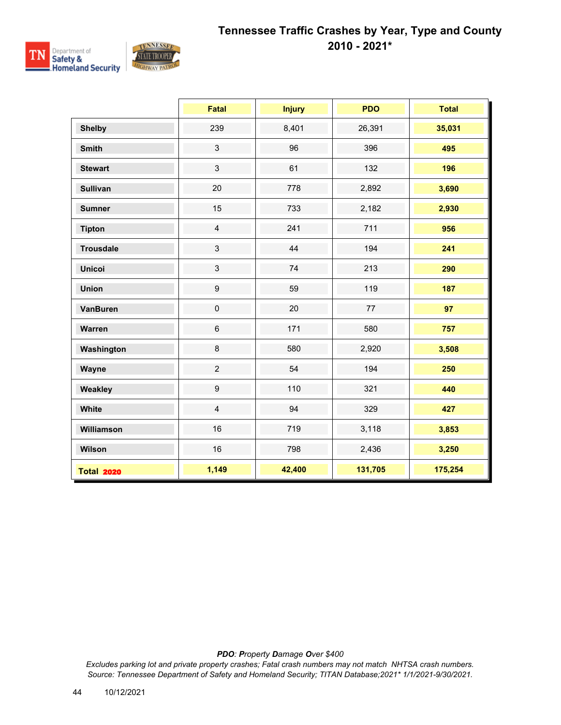

|                   | <b>Fatal</b>     | <b>Injury</b> | <b>PDO</b> | <b>Total</b> |
|-------------------|------------------|---------------|------------|--------------|
| <b>Shelby</b>     | 239              | 8,401         | 26,391     | 35,031       |
| <b>Smith</b>      | $\mathfrak{S}$   | 96            | 396        | 495          |
| <b>Stewart</b>    | $\mathbf{3}$     | 61            | 132        | 196          |
| <b>Sullivan</b>   | 20               | 778           | 2,892      | 3,690        |
| <b>Sumner</b>     | 15               | 733           | 2,182      | 2,930        |
| <b>Tipton</b>     | $\overline{4}$   | 241           | 711        | 956          |
| <b>Trousdale</b>  | $\mathfrak{S}$   | 44            | 194        | 241          |
| <b>Unicoi</b>     | $\mathbf{3}$     | 74            | 213        | 290          |
| <b>Union</b>      | $\boldsymbol{9}$ | 59            | 119        | 187          |
| <b>VanBuren</b>   | $\pmb{0}$        | 20            | 77         | 97           |
| Warren            | $\,6\,$          | 171           | 580        | 757          |
| Washington        | $\bf 8$          | 580           | 2,920      | 3,508        |
| Wayne             | $\overline{2}$   | 54            | 194        | 250          |
| Weakley           | $\boldsymbol{9}$ | 110           | 321        | 440          |
| White             | $\overline{4}$   | 94            | 329        | 427          |
| Williamson        | 16               | 719           | 3,118      | 3,853        |
| Wilson            | 16               | 798           | 2,436      | 3,250        |
| <b>Total 2020</b> | 1,149            | 42,400        | 131,705    | 175,254      |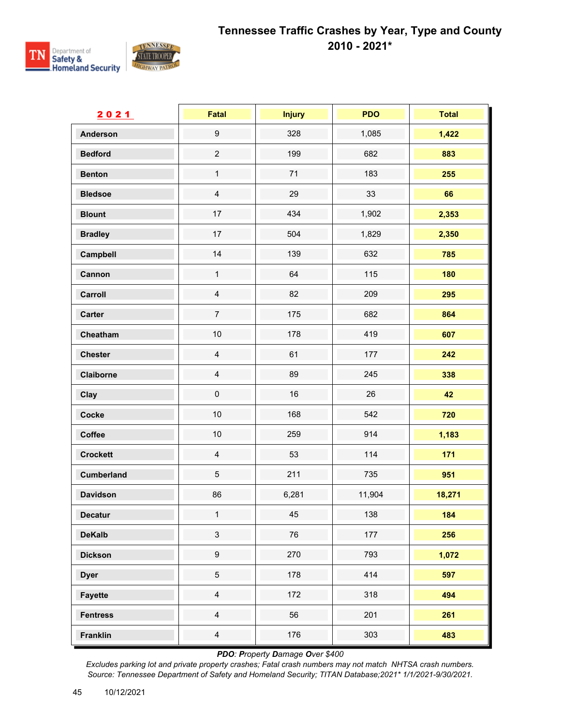

| 2021              | Fatal            | <b>Injury</b> | <b>PDO</b> | <b>Total</b> |
|-------------------|------------------|---------------|------------|--------------|
| <b>Anderson</b>   | $\boldsymbol{9}$ | 328           | 1,085      | 1,422        |
| <b>Bedford</b>    | $\overline{c}$   | 199           | 682        | 883          |
| <b>Benton</b>     | $\mathbf{1}$     | 71            | 183        | 255          |
| <b>Bledsoe</b>    | $\overline{4}$   | 29            | 33         | 66           |
| <b>Blount</b>     | 17               | 434           | 1,902      | 2,353        |
| <b>Bradley</b>    | 17               | 504           | 1,829      | 2,350        |
| Campbell          | 14               | 139           | 632        | 785          |
| Cannon            | $\mathbf{1}$     | 64            | 115        | 180          |
| Carroll           | $\overline{4}$   | 82            | 209        | 295          |
| Carter            | $\overline{7}$   | 175           | 682        | 864          |
| Cheatham          | 10               | 178           | 419        | 607          |
| <b>Chester</b>    | $\overline{4}$   | 61            | 177        | 242          |
| Claiborne         | $\overline{4}$   | 89            | 245        | 338          |
| Clay              | $\mathsf 0$      | 16            | 26         | 42           |
| Cocke             | $10$             | 168           | 542        | 720          |
| Coffee            | 10               | 259           | 914        | 1,183        |
| <b>Crockett</b>   | $\overline{4}$   | 53            | 114        | 171          |
| <b>Cumberland</b> | $\,$ 5 $\,$      | 211           | 735        | 951          |
| <b>Davidson</b>   | 86               | 6,281         | 11,904     | 18,271       |
| <b>Decatur</b>    | $\mathbf{1}$     | 45            | 138        | 184          |
| <b>DeKalb</b>     | $\sqrt{3}$       | 76            | 177        | 256          |
| <b>Dickson</b>    | $\boldsymbol{9}$ | 270           | 793        | 1,072        |
| <b>Dyer</b>       | $\overline{5}$   | 178           | 414        | 597          |
| <b>Fayette</b>    | $\overline{4}$   | 172           | 318        | 494          |
| <b>Fentress</b>   | $\overline{4}$   | 56            | 201        | 261          |
| <b>Franklin</b>   | $\overline{4}$   | 176           | 303        | 483          |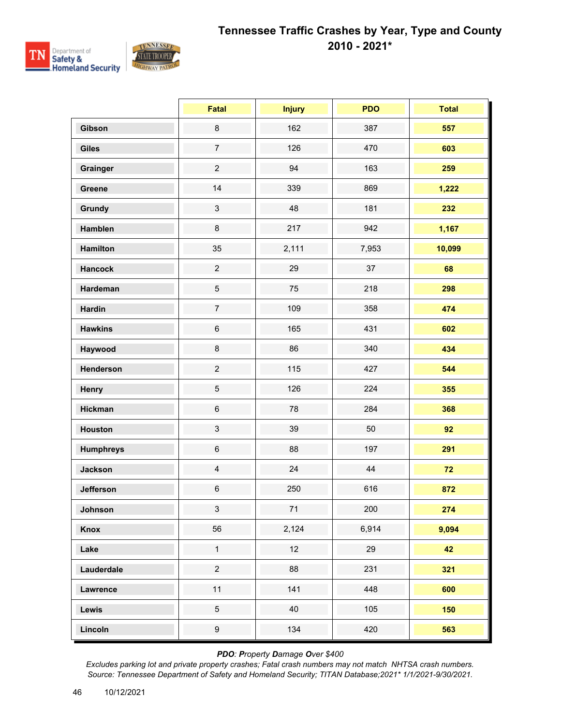

|                  | Fatal                     | <b>Injury</b> | <b>PDO</b> | <b>Total</b> |
|------------------|---------------------------|---------------|------------|--------------|
| Gibson           | $\bf 8$                   | 162           | 387        | 557          |
| <b>Giles</b>     | $\overline{7}$            | 126           | 470        | 603          |
| Grainger         | $\overline{c}$            | 94            | 163        | 259          |
| Greene           | 14                        | 339           | 869        | 1,222        |
| Grundy           | $\ensuremath{\mathsf{3}}$ | 48            | 181        | 232          |
| Hamblen          | 8                         | 217           | 942        | 1,167        |
| <b>Hamilton</b>  | 35                        | 2,111         | 7,953      | 10,099       |
| <b>Hancock</b>   | $\overline{2}$            | 29            | 37         | 68           |
| Hardeman         | $\,$ 5 $\,$               | 75            | 218        | 298          |
| <b>Hardin</b>    | $\overline{7}$            | 109           | 358        | 474          |
| <b>Hawkins</b>   | $\,6\,$                   | 165           | 431        | 602          |
| Haywood          | 8                         | 86            | 340        | 434          |
| Henderson        | $\overline{2}$            | 115           | 427        | 544          |
| Henry            | $\sqrt{5}$                | 126           | 224        | 355          |
| <b>Hickman</b>   | $\,6\,$                   | 78            | 284        | 368          |
| <b>Houston</b>   | $\mathfrak{S}$            | 39            | 50         | 92           |
| <b>Humphreys</b> | $\,6$                     | 88            | 197        | 291          |
| <b>Jackson</b>   | $\overline{4}$            | 24            | 44         | 72           |
| <b>Jefferson</b> | $\,6$                     | 250           | 616        | 872          |
| Johnson          | 3 <sup>1</sup>            | 71            | 200        | 274          |
| Knox             | 56                        | 2,124         | 6,914      | 9,094        |
| Lake             | $\mathbf{1}$              | 12            | 29         | 42           |
| Lauderdale       | $\overline{2}$            | 88            | 231        | 321          |
| Lawrence         | 11                        | 141           | 448        | 600          |
| Lewis            | $\overline{5}$            | 40            | 105        | 150          |
| Lincoln          | $\boldsymbol{9}$          | 134           | 420        | 563          |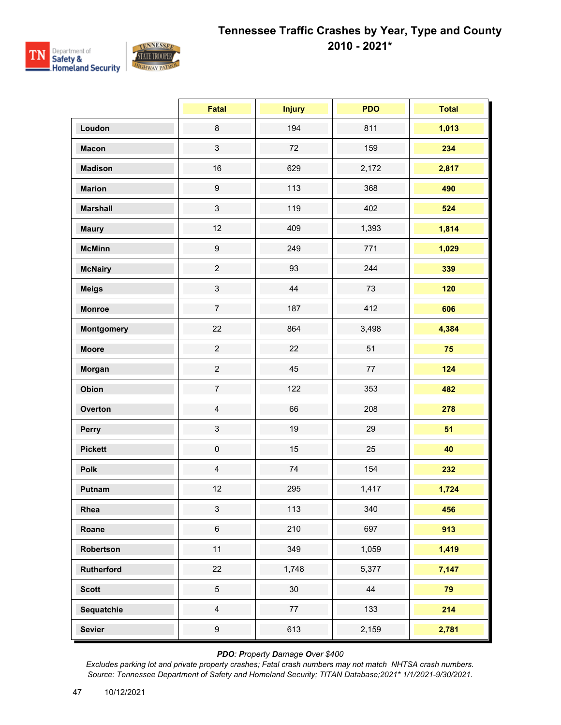

|                   | <b>Fatal</b>     | <b>Injury</b> | <b>PDO</b> | <b>Total</b> |
|-------------------|------------------|---------------|------------|--------------|
| Loudon            | $\bf 8$          | 194           | 811        | 1,013        |
| <b>Macon</b>      | $\mathfrak{S}$   | $72\,$        | 159        | 234          |
| <b>Madison</b>    | 16               | 629           | 2,172      | 2,817        |
| <b>Marion</b>     | $\boldsymbol{9}$ | 113           | 368        | 490          |
| <b>Marshall</b>   | $\mathfrak{S}$   | 119           | 402        | 524          |
| <b>Maury</b>      | 12               | 409           | 1,393      | 1,814        |
| <b>McMinn</b>     | $\boldsymbol{9}$ | 249           | 771        | 1,029        |
| <b>McNairy</b>    | $\overline{2}$   | 93            | 244        | 339          |
| <b>Meigs</b>      | $\mathfrak{S}$   | 44            | 73         | 120          |
| <b>Monroe</b>     | $\overline{7}$   | 187           | 412        | 606          |
| <b>Montgomery</b> | 22               | 864           | 3,498      | 4,384        |
| <b>Moore</b>      | $\overline{2}$   | 22            | 51         | 75           |
| Morgan            | $\overline{2}$   | 45            | 77         | 124          |
| Obion             | $\overline{7}$   | 122           | 353        | 482          |
| Overton           | $\overline{4}$   | 66            | 208        | 278          |
| Perry             | $\mathfrak{S}$   | 19            | 29         | 51           |
| <b>Pickett</b>    | $\pmb{0}$        | 15            | 25         | 40           |
| Polk              | $\overline{4}$   | $74$          | 154        | 232          |
| Putnam            | 12               | 295           | 1,417      | 1,724        |
| Rhea              | $\mathbf{3}$     | 113           | 340        | 456          |
| Roane             | $\,6\,$          | 210           | 697        | 913          |
| Robertson         | 11               | 349           | 1,059      | 1,419        |
| Rutherford        | $22\,$           | 1,748         | 5,377      | 7,147        |
| <b>Scott</b>      | $\overline{5}$   | $30\,$        | 44         | 79           |
| Sequatchie        | $\overline{4}$   | $77\,$        | 133        | 214          |
| <b>Sevier</b>     | $\boldsymbol{9}$ | 613           | 2,159      | 2,781        |